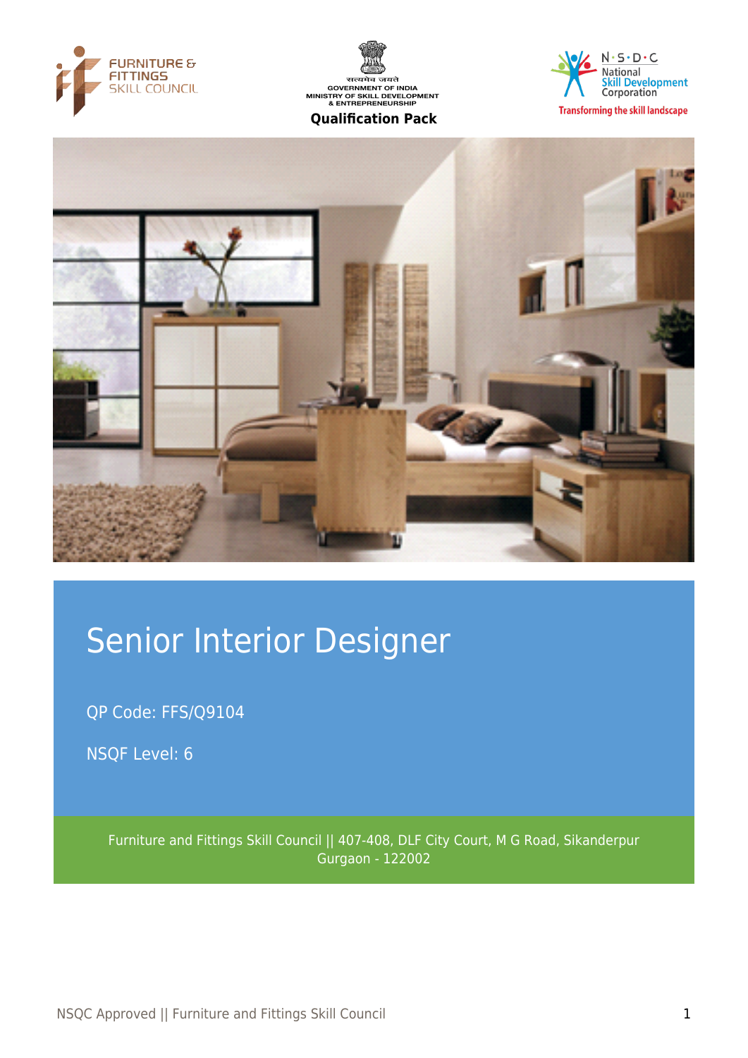







# Senior Interior Designer

QP Code: FFS/Q9104

NSQF Level: 6

Furniture and Fittings Skill Council || 407-408, DLF City Court, M G Road, Sikanderpur Gurgaon - 122002

NSQC Approved || Furniture and Fittings Skill Council 1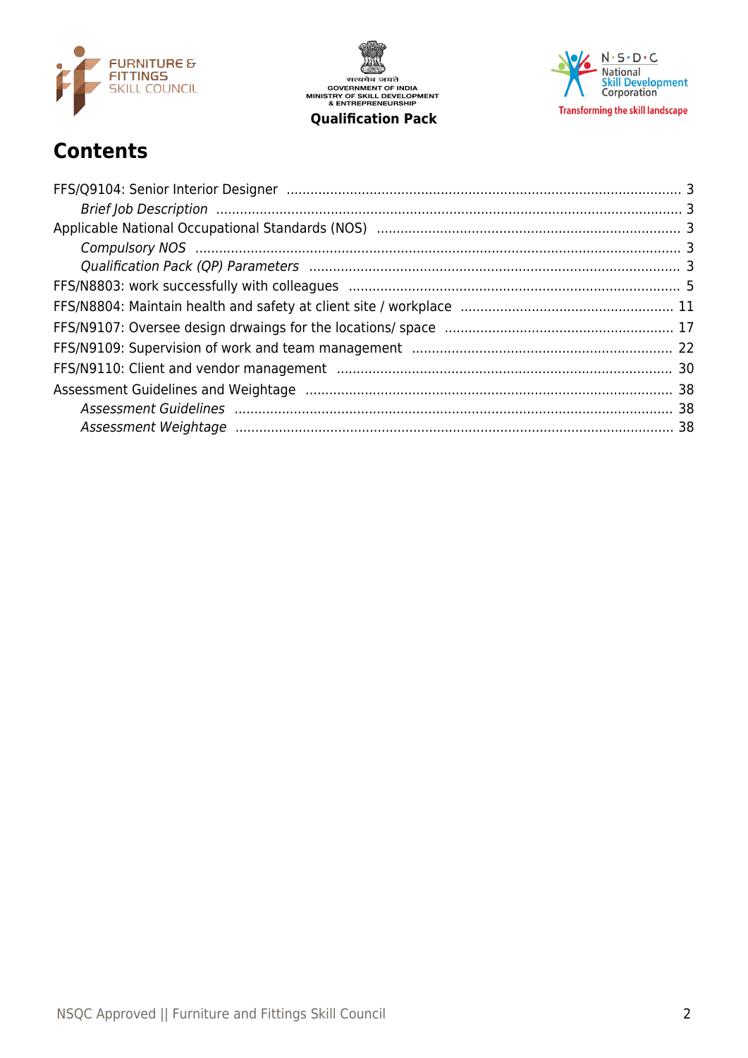

सत्यमेव जयते<br>GOVERNMENT OF INDIA<br>MINISTRY OF SKILL DEVELOPMENT<br>& ENTREPRENEURSHIP **Qualification Pack** 



# **Contents**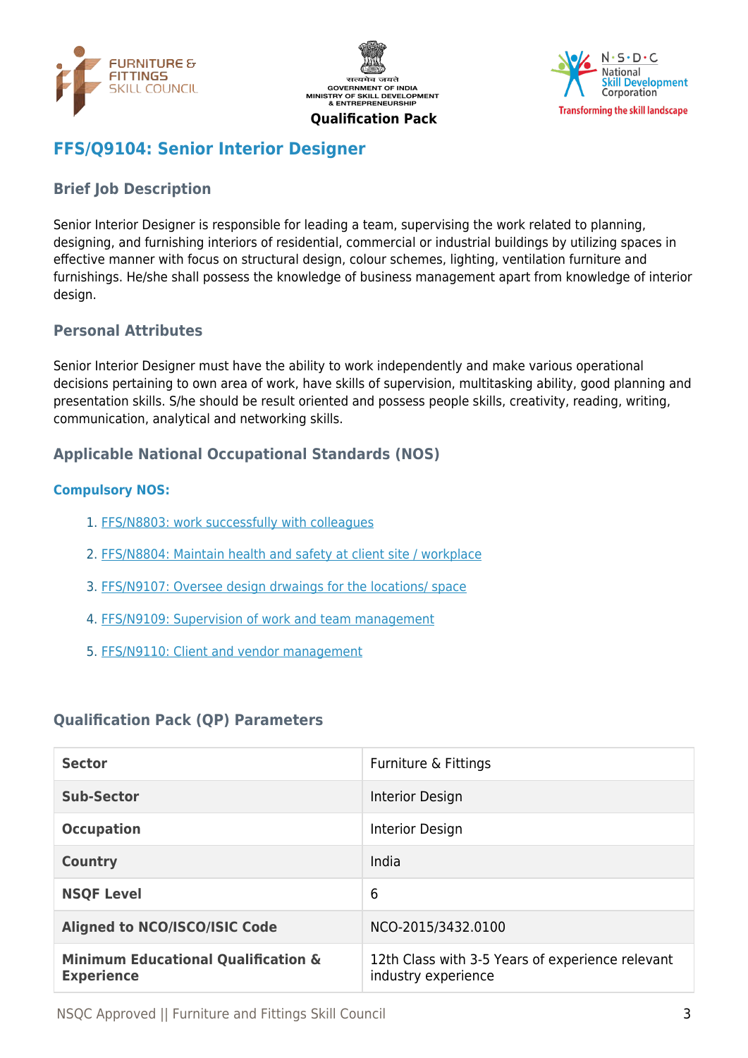





# <span id="page-2-0"></span>**FFS/Q9104: Senior Interior Designer**

# <span id="page-2-1"></span>**Brief Job Description**

Senior Interior Designer is responsible for leading a team, supervising the work related to planning, designing, and furnishing interiors of residential, commercial or industrial buildings by utilizing spaces in effective manner with focus on structural design, colour schemes, lighting, ventilation furniture and furnishings. He/she shall possess the knowledge of business management apart from knowledge of interior design.

### **Personal Attributes**

Senior Interior Designer must have the ability to work independently and make various operational decisions pertaining to own area of work, have skills of supervision, multitasking ability, good planning and presentation skills. S/he should be result oriented and possess people skills, creativity, reading, writing, communication, analytical and networking skills.

### <span id="page-2-2"></span>**Applicable National Occupational Standards (NOS)**

### <span id="page-2-3"></span>**Compulsory NOS:**

- 1. [FFS/N8803: work successfully with colleagues](#page-4-0)
- 2. [FFS/N8804: Maintain health and safety at client site / workplace](#page-10-0)
- 3. [FFS/N9107: Oversee design drwaings for the locations/ space](#page-16-0)
- 4. [FFS/N9109: Supervision of work and team management](#page-21-0)
- 5. [FFS/N9110: Client and vendor management](#page-29-0)

### <span id="page-2-4"></span>**Qualification Pack (QP) Parameters**

| <b>Sector</b>                                                       | Furniture & Fittings                                                    |
|---------------------------------------------------------------------|-------------------------------------------------------------------------|
| <b>Sub-Sector</b>                                                   | Interior Design                                                         |
| <b>Occupation</b>                                                   | Interior Design                                                         |
| <b>Country</b>                                                      | India                                                                   |
| <b>NSQF Level</b>                                                   | 6                                                                       |
| <b>Aligned to NCO/ISCO/ISIC Code</b>                                | NCO-2015/3432.0100                                                      |
| <b>Minimum Educational Qualification &amp;</b><br><b>Experience</b> | 12th Class with 3-5 Years of experience relevant<br>industry experience |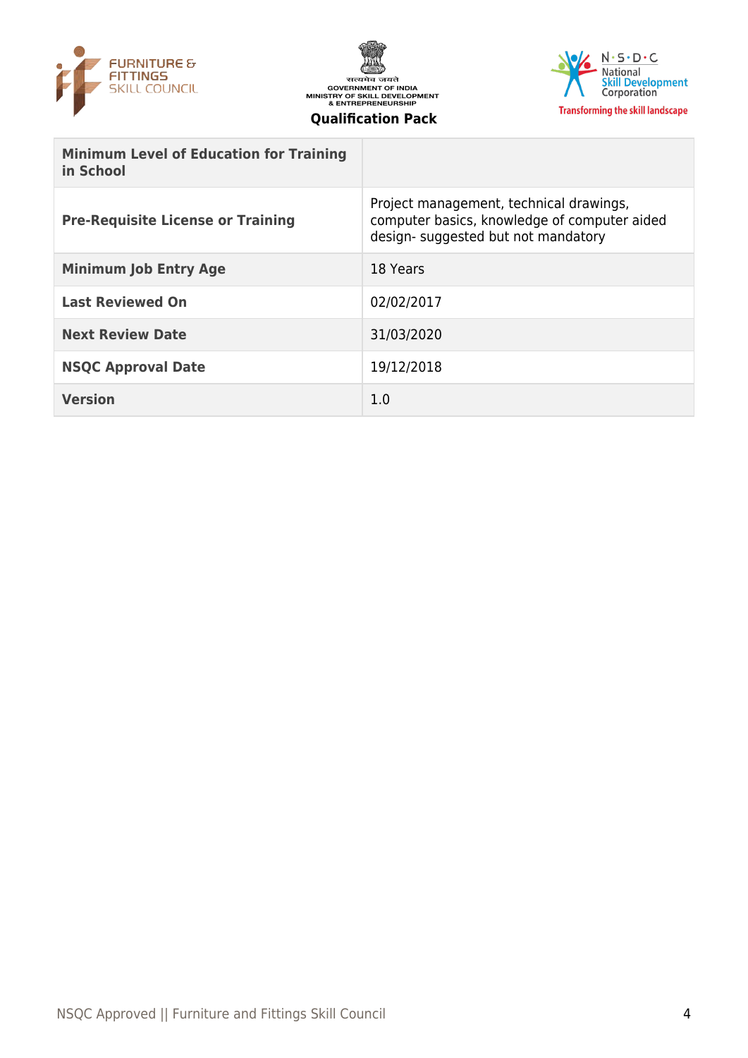





| <b>Minimum Level of Education for Training</b><br>in School |                                                                                                                               |
|-------------------------------------------------------------|-------------------------------------------------------------------------------------------------------------------------------|
| <b>Pre-Requisite License or Training</b>                    | Project management, technical drawings,<br>computer basics, knowledge of computer aided<br>design-suggested but not mandatory |
| <b>Minimum Job Entry Age</b>                                | 18 Years                                                                                                                      |
| <b>Last Reviewed On</b>                                     | 02/02/2017                                                                                                                    |
| <b>Next Review Date</b>                                     | 31/03/2020                                                                                                                    |
| <b>NSQC Approval Date</b>                                   | 19/12/2018                                                                                                                    |
| <b>Version</b>                                              | 1.0                                                                                                                           |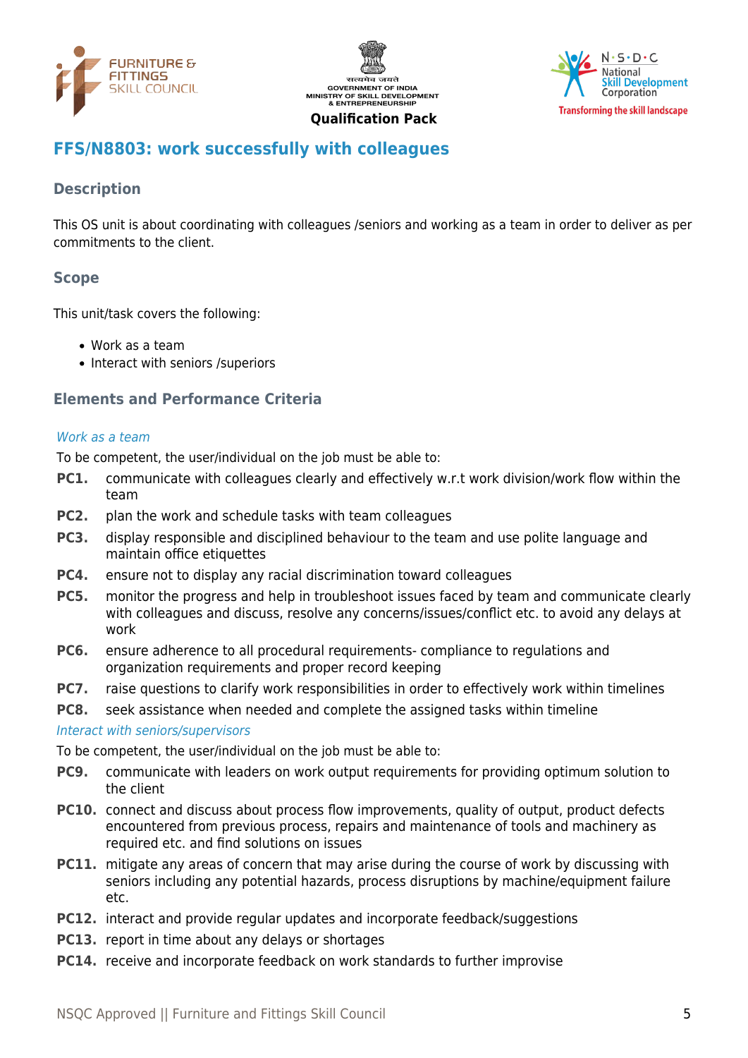





# <span id="page-4-0"></span>**FFS/N8803: work successfully with colleagues**

# **Description**

This OS unit is about coordinating with colleagues /seniors and working as a team in order to deliver as per commitments to the client.

# **Scope**

This unit/task covers the following:

- Work as a team
- Interact with seniors /superiors

### **Elements and Performance Criteria**

#### Work as a team

To be competent, the user/individual on the job must be able to:

- **PC1.** communicate with colleagues clearly and effectively w.r.t work division/work flow within the team
- **PC2.** plan the work and schedule tasks with team colleagues
- **PC3.** display responsible and disciplined behaviour to the team and use polite language and maintain office etiquettes
- **PC4.** ensure not to display any racial discrimination toward colleagues
- **PC5.** monitor the progress and help in troubleshoot issues faced by team and communicate clearly with colleagues and discuss, resolve any concerns/issues/conflict etc. to avoid any delays at work
- **PC6.** ensure adherence to all procedural requirements- compliance to regulations and organization requirements and proper record keeping
- **PC7.** raise questions to clarify work responsibilities in order to effectively work within timelines
- **PC8.** seek assistance when needed and complete the assigned tasks within timeline

#### Interact with seniors/supervisors

To be competent, the user/individual on the job must be able to:

- **PC9.** communicate with leaders on work output requirements for providing optimum solution to the client
- **PC10.** connect and discuss about process flow improvements, quality of output, product defects encountered from previous process, repairs and maintenance of tools and machinery as required etc. and find solutions on issues
- **PC11.** mitigate any areas of concern that may arise during the course of work by discussing with seniors including any potential hazards, process disruptions by machine/equipment failure etc.
- **PC12.** interact and provide regular updates and incorporate feedback/suggestions
- **PC13.** report in time about any delays or shortages
- **PC14.** receive and incorporate feedback on work standards to further improvise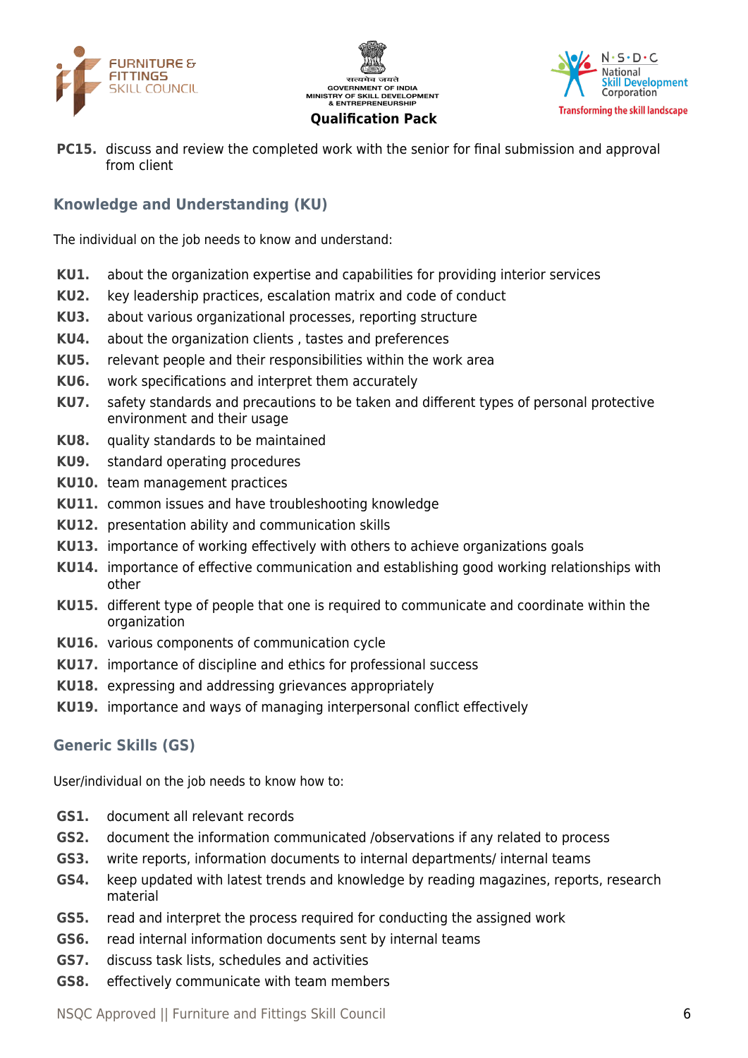





**PC15.** discuss and review the completed work with the senior for final submission and approval from client

# **Knowledge and Understanding (KU)**

The individual on the job needs to know and understand:

- **KU1.** about the organization expertise and capabilities for providing interior services
- **KU2.** key leadership practices, escalation matrix and code of conduct
- **KU3.** about various organizational processes, reporting structure
- **KU4.** about the organization clients , tastes and preferences
- **KU5.** relevant people and their responsibilities within the work area
- **KU6.** work specifications and interpret them accurately
- **KU7.** safety standards and precautions to be taken and different types of personal protective environment and their usage
- **KU8.** quality standards to be maintained
- **KU9.** standard operating procedures
- **KU10.** team management practices
- **KU11.** common issues and have troubleshooting knowledge
- **KU12.** presentation ability and communication skills
- **KU13.** importance of working effectively with others to achieve organizations goals
- **KU14.** importance of effective communication and establishing good working relationships with other
- **KU15.** different type of people that one is required to communicate and coordinate within the organization
- **KU16.** various components of communication cycle
- **KU17.** importance of discipline and ethics for professional success
- **KU18.** expressing and addressing grievances appropriately
- **KU19.** importance and ways of managing interpersonal conflict effectively

### **Generic Skills (GS)**

User/individual on the job needs to know how to:

- **GS1.** document all relevant records
- **GS2.** document the information communicated /observations if any related to process
- **GS3.** write reports, information documents to internal departments/ internal teams
- **GS4.** keep updated with latest trends and knowledge by reading magazines, reports, research material
- **GS5.** read and interpret the process required for conducting the assigned work
- **GS6.** read internal information documents sent by internal teams
- **GS7.** discuss task lists, schedules and activities
- **GS8.** effectively communicate with team members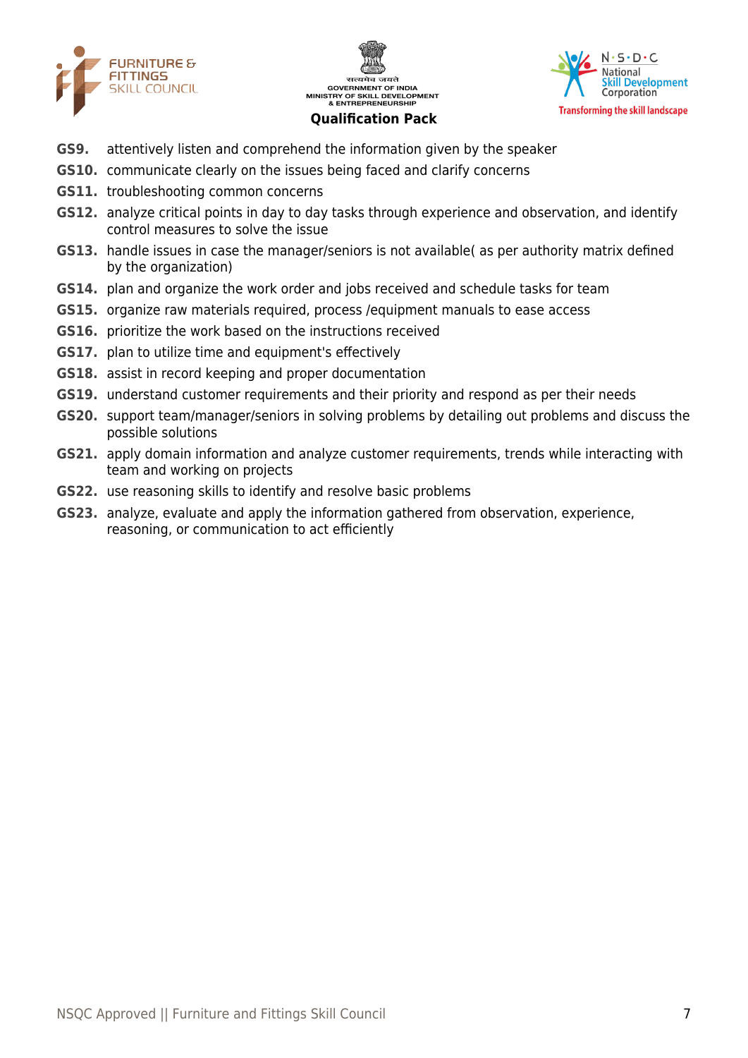





- **GS9.** attentively listen and comprehend the information given by the speaker
- **GS10.** communicate clearly on the issues being faced and clarify concerns
- **GS11.** troubleshooting common concerns
- **GS12.** analyze critical points in day to day tasks through experience and observation, and identify control measures to solve the issue
- **GS13.** handle issues in case the manager/seniors is not available( as per authority matrix defined by the organization)
- **GS14.** plan and organize the work order and jobs received and schedule tasks for team
- **GS15.** organize raw materials required, process /equipment manuals to ease access
- **GS16.** prioritize the work based on the instructions received
- **GS17.** plan to utilize time and equipment's effectively
- **GS18.** assist in record keeping and proper documentation
- **GS19.** understand customer requirements and their priority and respond as per their needs
- **GS20.** support team/manager/seniors in solving problems by detailing out problems and discuss the possible solutions
- **GS21.** apply domain information and analyze customer requirements, trends while interacting with team and working on projects
- **GS22.** use reasoning skills to identify and resolve basic problems
- **GS23.** analyze, evaluate and apply the information gathered from observation, experience, reasoning, or communication to act efficiently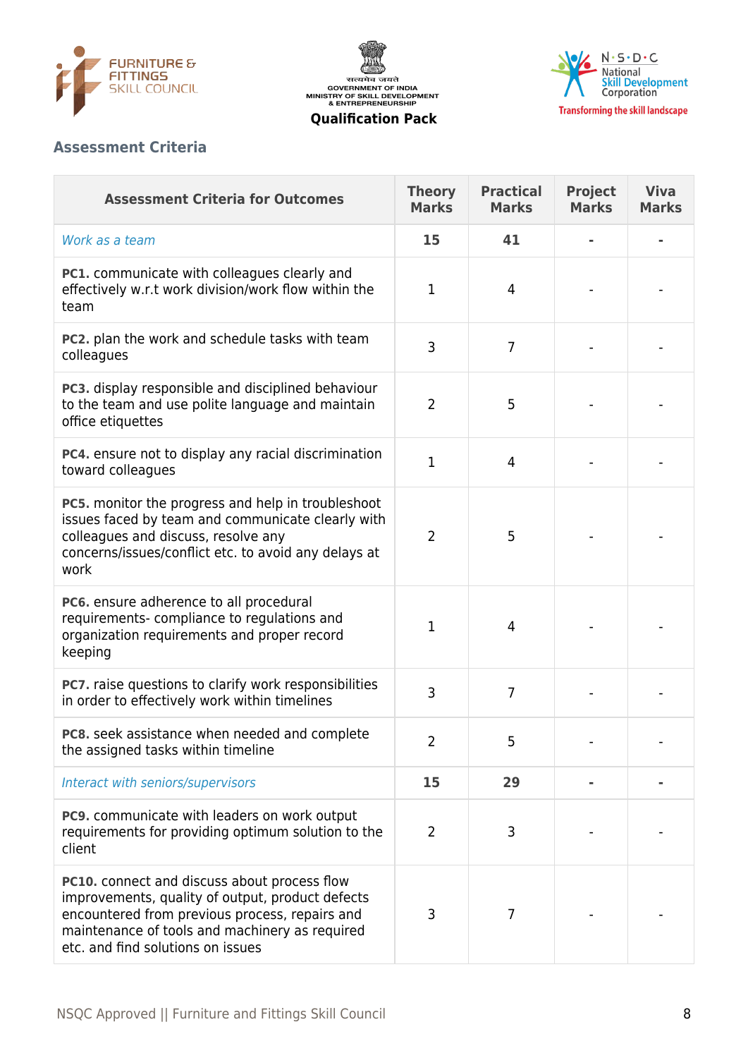





## **Assessment Criteria**

| <b>Assessment Criteria for Outcomes</b>                                                                                                                                                                                                   | <b>Theory</b><br><b>Marks</b> | <b>Practical</b><br><b>Marks</b> | Project<br><b>Marks</b> | <b>Viva</b><br><b>Marks</b> |
|-------------------------------------------------------------------------------------------------------------------------------------------------------------------------------------------------------------------------------------------|-------------------------------|----------------------------------|-------------------------|-----------------------------|
| Work as a team                                                                                                                                                                                                                            | 15                            | 41                               |                         |                             |
| PC1. communicate with colleagues clearly and<br>effectively w.r.t work division/work flow within the<br>team                                                                                                                              | 1                             | $\overline{4}$                   |                         |                             |
| PC2. plan the work and schedule tasks with team<br>colleagues                                                                                                                                                                             | 3                             | $\overline{7}$                   |                         |                             |
| PC3. display responsible and disciplined behaviour<br>to the team and use polite language and maintain<br>office etiquettes                                                                                                               | $\overline{2}$                | 5                                |                         |                             |
| PC4. ensure not to display any racial discrimination<br>toward colleagues                                                                                                                                                                 | $\mathbf{1}$                  | $\overline{4}$                   |                         |                             |
| <b>PC5.</b> monitor the progress and help in troubleshoot<br>issues faced by team and communicate clearly with<br>colleagues and discuss, resolve any<br>concerns/issues/conflict etc. to avoid any delays at<br>work                     | $\overline{2}$                | 5                                |                         |                             |
| PC6. ensure adherence to all procedural<br>requirements-compliance to regulations and<br>organization requirements and proper record<br>keeping                                                                                           | 1                             | $\overline{4}$                   |                         |                             |
| PC7. raise questions to clarify work responsibilities<br>in order to effectively work within timelines                                                                                                                                    | 3                             | 7                                |                         |                             |
| PC8. seek assistance when needed and complete<br>the assigned tasks within timeline                                                                                                                                                       | 2                             | 5                                |                         |                             |
| Interact with seniors/supervisors                                                                                                                                                                                                         | 15                            | 29                               |                         |                             |
| <b>PC9.</b> communicate with leaders on work output<br>requirements for providing optimum solution to the<br>client                                                                                                                       | $\overline{2}$                | 3                                |                         |                             |
| PC10. connect and discuss about process flow<br>improvements, quality of output, product defects<br>encountered from previous process, repairs and<br>maintenance of tools and machinery as required<br>etc. and find solutions on issues | 3                             | 7                                |                         |                             |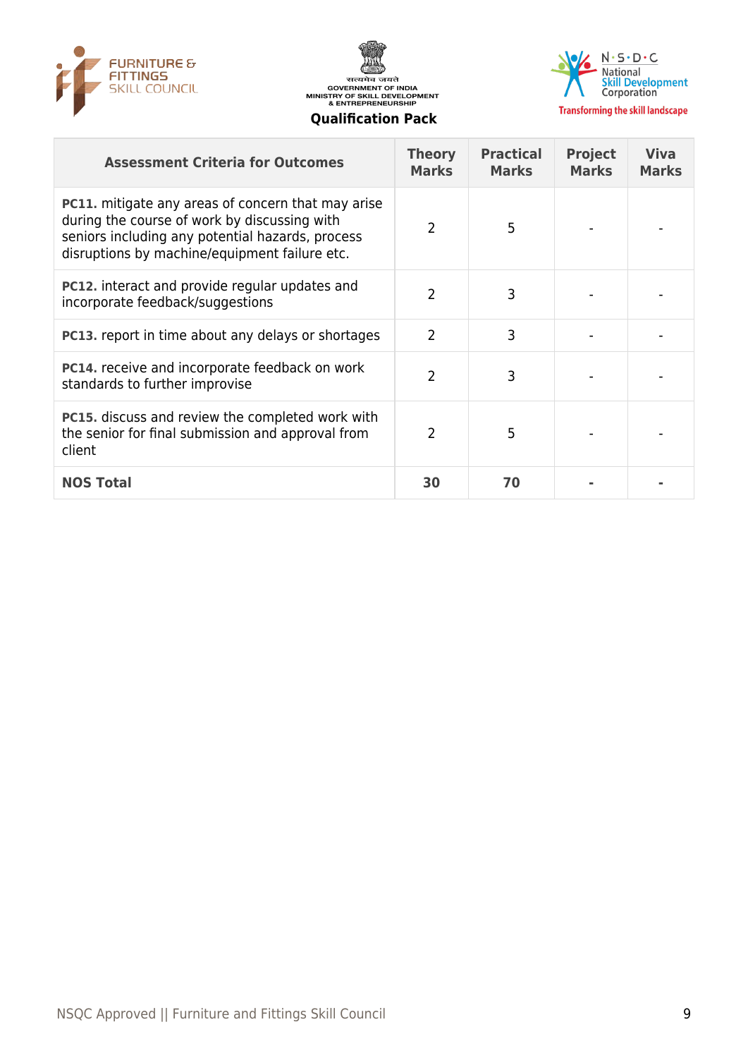





| <b>Assessment Criteria for Outcomes</b>                                                                                                                                                                        | <b>Theory</b><br><b>Marks</b> | <b>Practical</b><br><b>Marks</b> | <b>Project</b><br><b>Marks</b> | <b>Viva</b><br><b>Marks</b> |
|----------------------------------------------------------------------------------------------------------------------------------------------------------------------------------------------------------------|-------------------------------|----------------------------------|--------------------------------|-----------------------------|
| <b>PC11.</b> mitigate any areas of concern that may arise<br>during the course of work by discussing with<br>seniors including any potential hazards, process<br>disruptions by machine/equipment failure etc. | $\mathcal{P}$                 | 5                                |                                |                             |
| <b>PC12.</b> interact and provide regular updates and<br>incorporate feedback/suggestions                                                                                                                      | 2                             | 3                                |                                |                             |
| <b>PC13.</b> report in time about any delays or shortages                                                                                                                                                      | 2                             | 3                                |                                |                             |
| <b>PC14.</b> receive and incorporate feedback on work<br>standards to further improvise                                                                                                                        | $\overline{2}$                | 3                                |                                |                             |
| <b>PC15.</b> discuss and review the completed work with<br>the senior for final submission and approval from<br>client                                                                                         | 2                             | 5                                |                                |                             |
| <b>NOS Total</b>                                                                                                                                                                                               | 30                            | 70                               |                                |                             |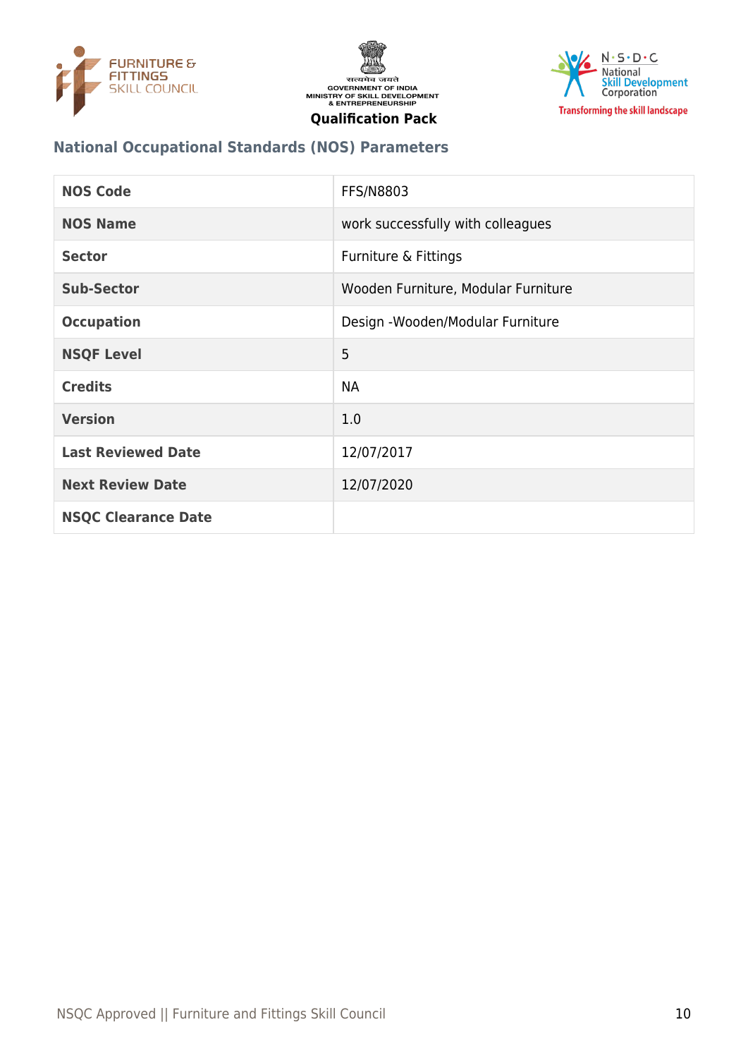





# **National Occupational Standards (NOS) Parameters**

| <b>NOS Code</b>            | <b>FFS/N8803</b>                    |
|----------------------------|-------------------------------------|
| <b>NOS Name</b>            | work successfully with colleagues   |
| <b>Sector</b>              | Furniture & Fittings                |
| <b>Sub-Sector</b>          | Wooden Furniture, Modular Furniture |
| <b>Occupation</b>          | Design - Wooden/Modular Furniture   |
| <b>NSQF Level</b>          | 5                                   |
| <b>Credits</b>             | <b>NA</b>                           |
| <b>Version</b>             | 1.0                                 |
| <b>Last Reviewed Date</b>  | 12/07/2017                          |
| <b>Next Review Date</b>    | 12/07/2020                          |
| <b>NSQC Clearance Date</b> |                                     |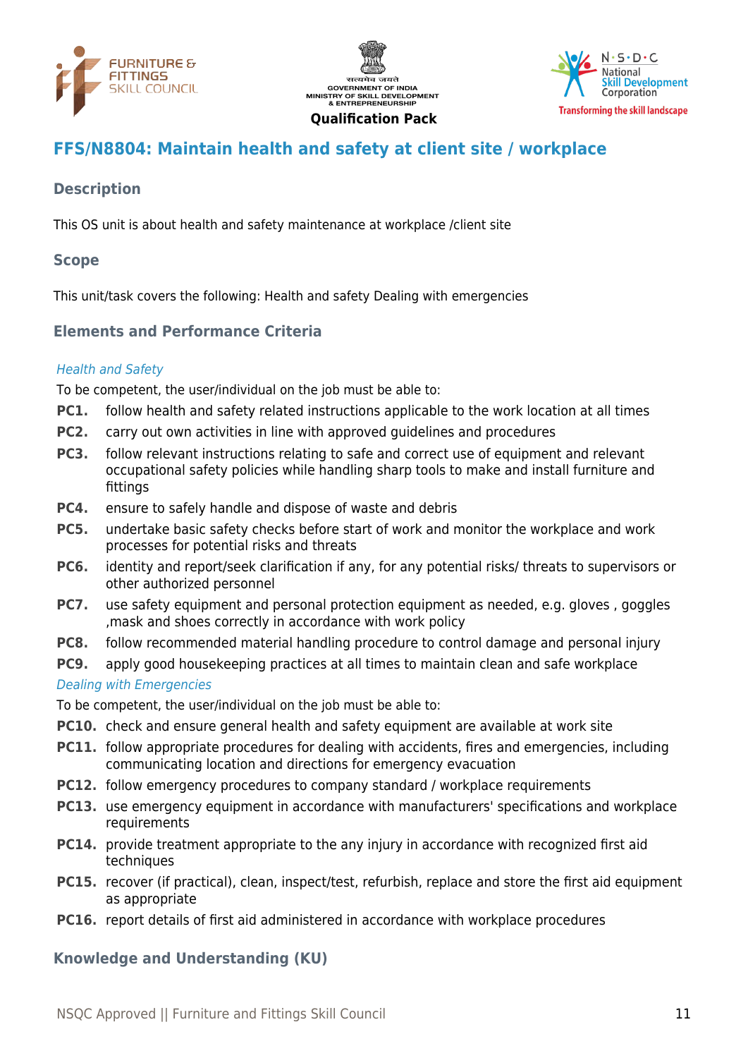





# <span id="page-10-0"></span>**FFS/N8804: Maintain health and safety at client site / workplace**

# **Description**

This OS unit is about health and safety maintenance at workplace /client site

## **Scope**

This unit/task covers the following: Health and safety Dealing with emergencies

# **Elements and Performance Criteria**

### Health and Safety

To be competent, the user/individual on the job must be able to:

- **PC1.** follow health and safety related instructions applicable to the work location at all times
- **PC2.** carry out own activities in line with approved guidelines and procedures
- **PC3.** follow relevant instructions relating to safe and correct use of equipment and relevant occupational safety policies while handling sharp tools to make and install furniture and fittings
- **PC4.** ensure to safely handle and dispose of waste and debris
- **PC5.** undertake basic safety checks before start of work and monitor the workplace and work processes for potential risks and threats
- **PC6.** identity and report/seek clarification if any, for any potential risks/ threats to supervisors or other authorized personnel
- **PC7.** use safety equipment and personal protection equipment as needed, e.g. gloves, goggles ,mask and shoes correctly in accordance with work policy
- **PC8.** follow recommended material handling procedure to control damage and personal injury
- **PC9.** apply good housekeeping practices at all times to maintain clean and safe workplace

### Dealing with Emergencies

To be competent, the user/individual on the job must be able to:

- **PC10.** check and ensure general health and safety equipment are available at work site
- **PC11.** follow appropriate procedures for dealing with accidents, fires and emergencies, including communicating location and directions for emergency evacuation
- **PC12.** follow emergency procedures to company standard / workplace requirements
- **PC13.** use emergency equipment in accordance with manufacturers' specifications and workplace requirements
- **PC14.** provide treatment appropriate to the any injury in accordance with recognized first aid techniques
- **PC15.** recover (if practical), clean, inspect/test, refurbish, replace and store the first aid equipment as appropriate
- **PC16.** report details of first aid administered in accordance with workplace procedures

# **Knowledge and Understanding (KU)**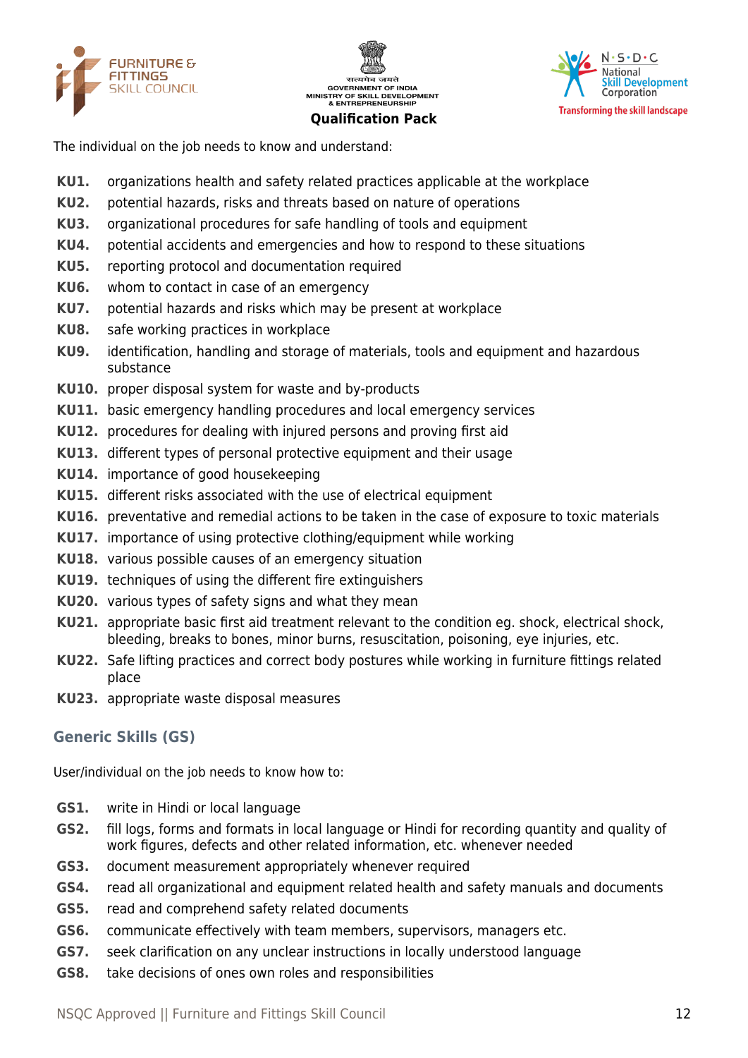





The individual on the job needs to know and understand:

- **KU1.** organizations health and safety related practices applicable at the workplace
- **KU2.** potential hazards, risks and threats based on nature of operations
- **KU3.** organizational procedures for safe handling of tools and equipment
- **KU4.** potential accidents and emergencies and how to respond to these situations
- **KU5.** reporting protocol and documentation required
- **KU6.** whom to contact in case of an emergency
- **KU7.** potential hazards and risks which may be present at workplace
- **KU8.** safe working practices in workplace
- **KU9.** identification, handling and storage of materials, tools and equipment and hazardous substance
- **KU10.** proper disposal system for waste and by-products
- **KU11.** basic emergency handling procedures and local emergency services
- **KU12.** procedures for dealing with injured persons and proving first aid
- **KU13.** different types of personal protective equipment and their usage
- **KU14.** importance of good housekeeping
- **KU15.** different risks associated with the use of electrical equipment
- **KU16.** preventative and remedial actions to be taken in the case of exposure to toxic materials
- **KU17.** importance of using protective clothing/equipment while working
- **KU18.** various possible causes of an emergency situation
- **KU19.** techniques of using the different fire extinguishers
- **KU20.** various types of safety signs and what they mean
- **KU21.** appropriate basic first aid treatment relevant to the condition eg. shock, electrical shock, bleeding, breaks to bones, minor burns, resuscitation, poisoning, eye injuries, etc.
- **KU22.** Safe lifting practices and correct body postures while working in furniture fittings related place
- **KU23.** appropriate waste disposal measures

# **Generic Skills (GS)**

User/individual on the job needs to know how to:

- **GS1.** write in Hindi or local language
- **GS2.** fill logs, forms and formats in local language or Hindi for recording quantity and quality of work figures, defects and other related information, etc. whenever needed
- **GS3.** document measurement appropriately whenever required
- **GS4.** read all organizational and equipment related health and safety manuals and documents
- **GS5.** read and comprehend safety related documents
- **GS6.** communicate effectively with team members, supervisors, managers etc.
- **GS7.** seek clarification on any unclear instructions in locally understood language
- **GS8.** take decisions of ones own roles and responsibilities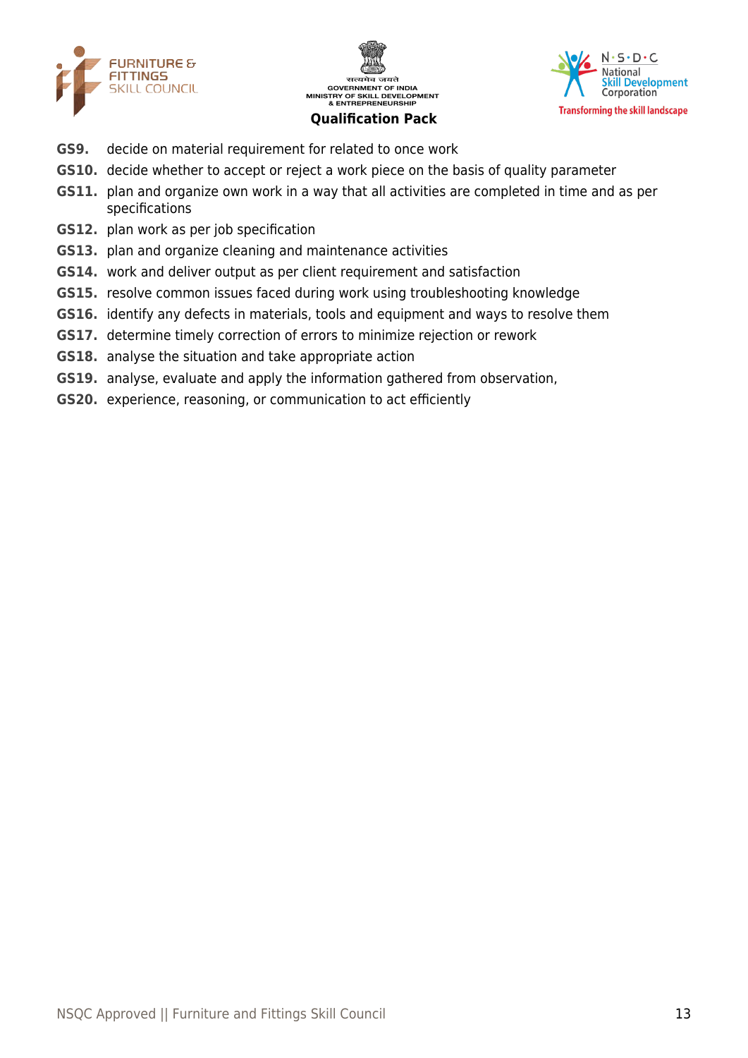





- **GS9.** decide on material requirement for related to once work
- **GS10.** decide whether to accept or reject a work piece on the basis of quality parameter
- **GS11.** plan and organize own work in a way that all activities are completed in time and as per specifications
- **GS12.** plan work as per job specification
- **GS13.** plan and organize cleaning and maintenance activities
- **GS14.** work and deliver output as per client requirement and satisfaction
- **GS15.** resolve common issues faced during work using troubleshooting knowledge
- **GS16.** identify any defects in materials, tools and equipment and ways to resolve them
- **GS17.** determine timely correction of errors to minimize rejection or rework
- **GS18.** analyse the situation and take appropriate action
- **GS19.** analyse, evaluate and apply the information gathered from observation,
- **GS20.** experience, reasoning, or communication to act efficiently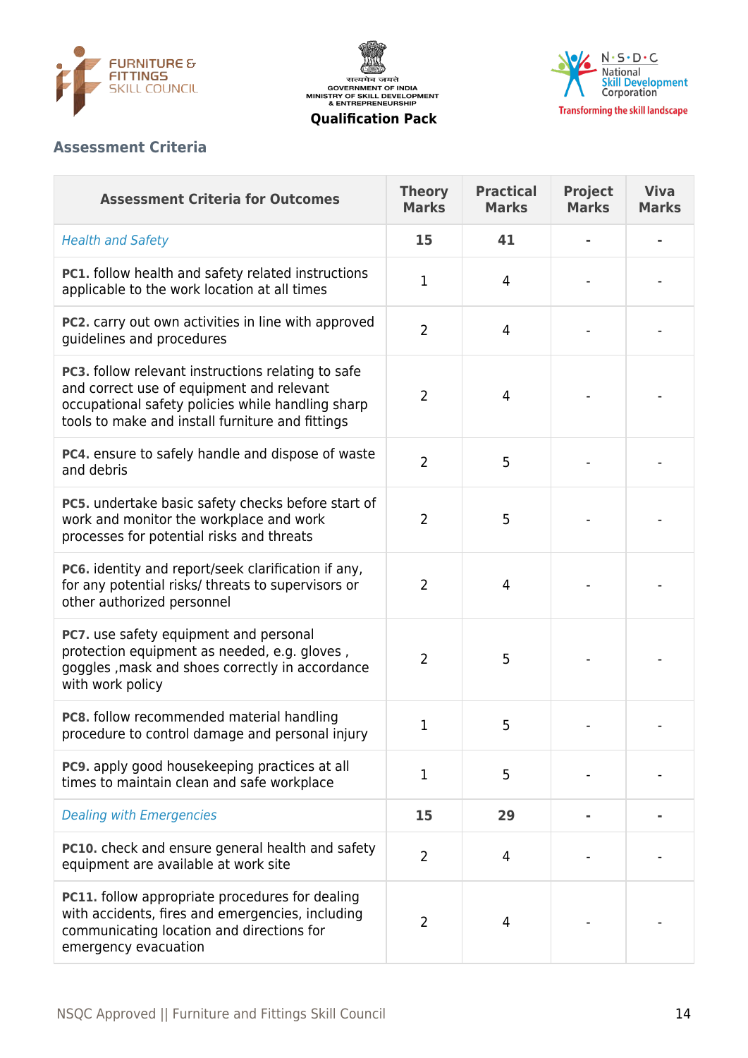





# **Assessment Criteria**

| <b>Assessment Criteria for Outcomes</b>                                                                                                                                                                  | <b>Theory</b><br><b>Marks</b> | <b>Practical</b><br><b>Marks</b> | <b>Project</b><br><b>Marks</b> | <b>Viva</b><br><b>Marks</b> |
|----------------------------------------------------------------------------------------------------------------------------------------------------------------------------------------------------------|-------------------------------|----------------------------------|--------------------------------|-----------------------------|
| <b>Health and Safety</b>                                                                                                                                                                                 | 15                            | 41                               |                                |                             |
| PC1. follow health and safety related instructions<br>applicable to the work location at all times                                                                                                       | 1                             | 4                                |                                |                             |
| PC2. carry out own activities in line with approved<br>guidelines and procedures                                                                                                                         | $\overline{2}$                | $\overline{4}$                   |                                |                             |
| PC3. follow relevant instructions relating to safe<br>and correct use of equipment and relevant<br>occupational safety policies while handling sharp<br>tools to make and install furniture and fittings | $\overline{2}$                | 4                                |                                |                             |
| PC4. ensure to safely handle and dispose of waste<br>and debris                                                                                                                                          | $\overline{2}$                | 5                                |                                |                             |
| PC5. undertake basic safety checks before start of<br>work and monitor the workplace and work<br>processes for potential risks and threats                                                               | $\overline{2}$                | 5                                |                                |                             |
| PC6. identity and report/seek clarification if any,<br>for any potential risks/ threats to supervisors or<br>other authorized personnel                                                                  | $\overline{2}$                | 4                                |                                |                             |
| PC7. use safety equipment and personal<br>protection equipment as needed, e.g. gloves,<br>goggles, mask and shoes correctly in accordance<br>with work policy                                            | $\overline{2}$                | 5                                |                                |                             |
| PC8. follow recommended material handling<br>procedure to control damage and personal injury                                                                                                             | 1                             | 5                                |                                |                             |
| PC9. apply good housekeeping practices at all<br>times to maintain clean and safe workplace                                                                                                              | 1                             | 5                                |                                |                             |
| <b>Dealing with Emergencies</b>                                                                                                                                                                          | 15                            | 29                               |                                |                             |
| PC10. check and ensure general health and safety<br>equipment are available at work site                                                                                                                 | $\overline{2}$                | 4                                |                                |                             |
| <b>PC11.</b> follow appropriate procedures for dealing<br>with accidents, fires and emergencies, including<br>communicating location and directions for<br>emergency evacuation                          | $\overline{2}$                | 4                                |                                |                             |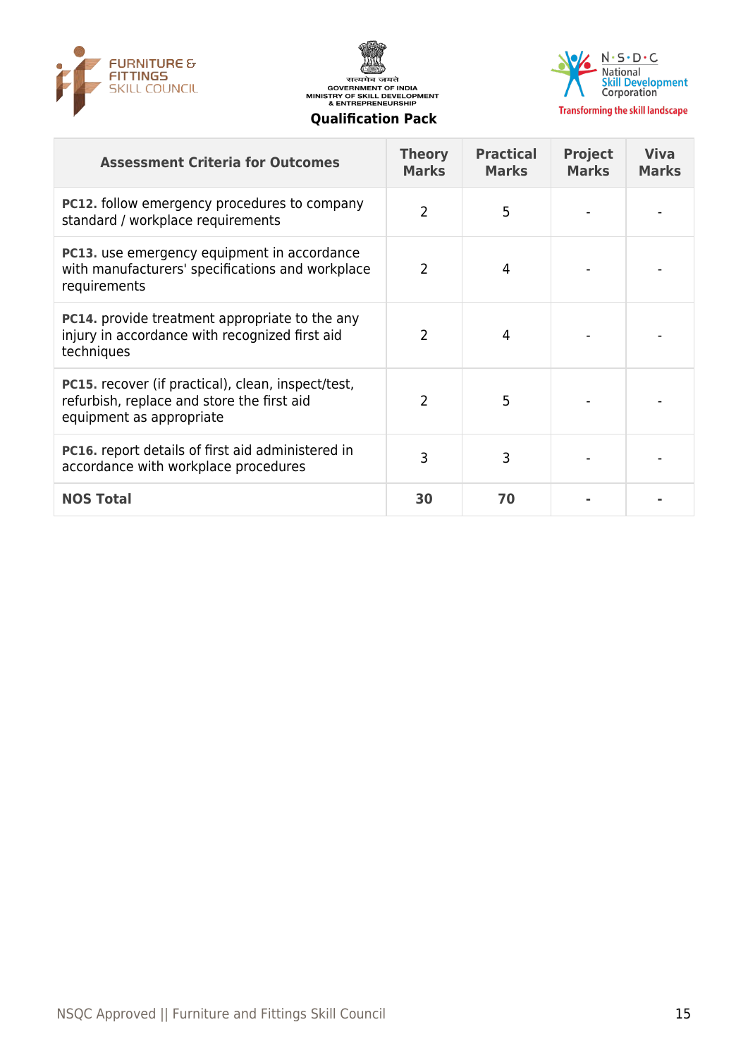





| <b>Assessment Criteria for Outcomes</b>                                                                                             | <b>Theory</b><br><b>Marks</b> | <b>Practical</b><br><b>Marks</b> | <b>Project</b><br><b>Marks</b> | <b>Viva</b><br><b>Marks</b> |
|-------------------------------------------------------------------------------------------------------------------------------------|-------------------------------|----------------------------------|--------------------------------|-----------------------------|
| <b>PC12.</b> follow emergency procedures to company<br>standard / workplace requirements                                            | $\overline{2}$                | 5                                |                                |                             |
| PC13. use emergency equipment in accordance<br>with manufacturers' specifications and workplace<br>requirements                     | 2                             | 4                                |                                |                             |
| <b>PC14.</b> provide treatment appropriate to the any<br>injury in accordance with recognized first aid<br>techniques               | $\mathcal{P}$                 | 4                                |                                |                             |
| <b>PC15.</b> recover (if practical), clean, inspect/test,<br>refurbish, replace and store the first aid<br>equipment as appropriate | $\overline{2}$                | 5                                |                                |                             |
| <b>PC16.</b> report details of first aid administered in<br>accordance with workplace procedures                                    | 3                             | 3                                |                                |                             |
| <b>NOS Total</b>                                                                                                                    | 30                            | 70                               |                                |                             |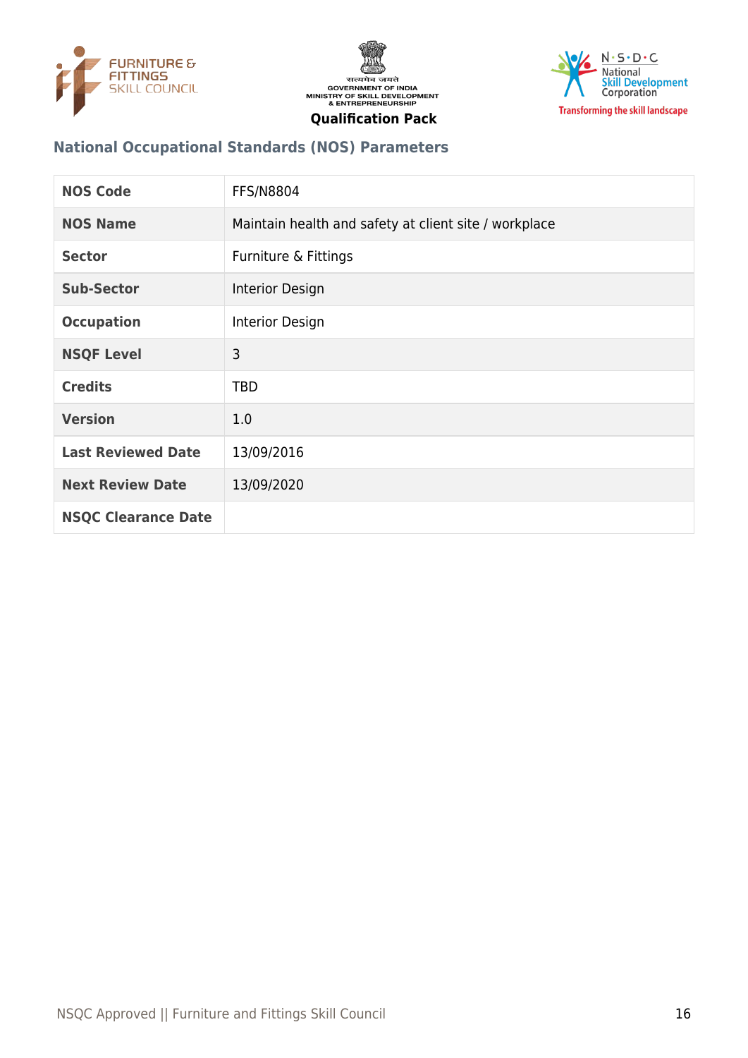





# **National Occupational Standards (NOS) Parameters**

| <b>NOS Code</b>            | <b>FFS/N8804</b>                                      |
|----------------------------|-------------------------------------------------------|
| <b>NOS Name</b>            | Maintain health and safety at client site / workplace |
| <b>Sector</b>              | Furniture & Fittings                                  |
| <b>Sub-Sector</b>          | Interior Design                                       |
| <b>Occupation</b>          | Interior Design                                       |
| <b>NSQF Level</b>          | 3                                                     |
| <b>Credits</b>             | <b>TBD</b>                                            |
| <b>Version</b>             | 1.0                                                   |
| <b>Last Reviewed Date</b>  | 13/09/2016                                            |
| <b>Next Review Date</b>    | 13/09/2020                                            |
| <b>NSQC Clearance Date</b> |                                                       |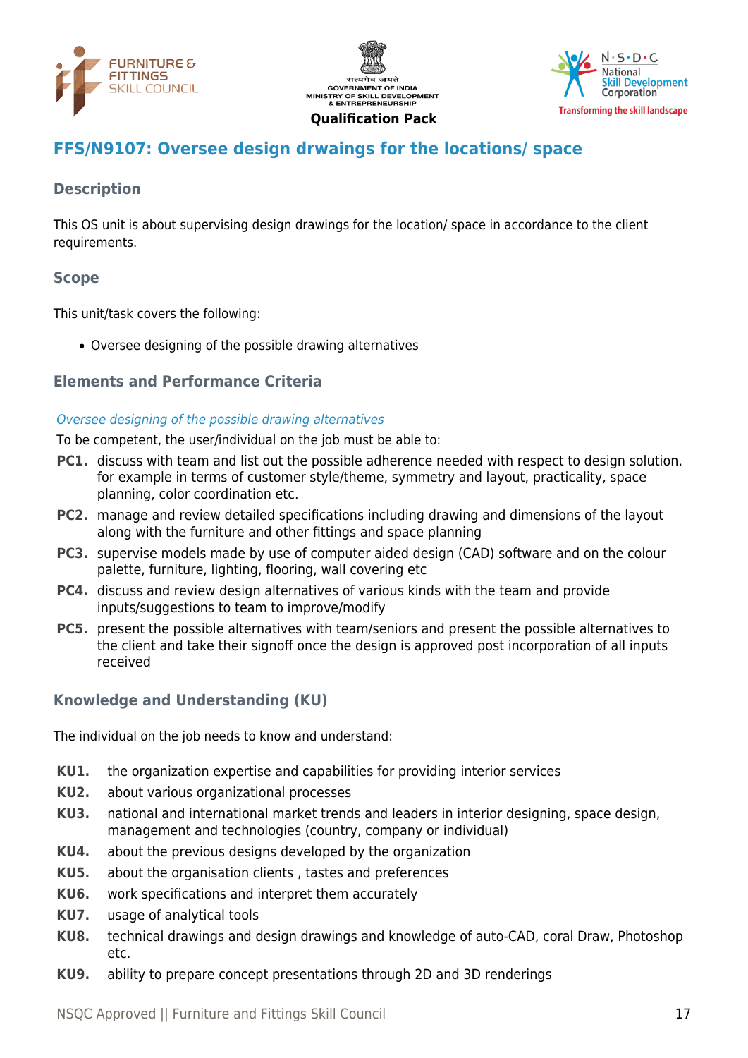





# <span id="page-16-0"></span>**FFS/N9107: Oversee design drwaings for the locations/ space**

# **Description**

This OS unit is about supervising design drawings for the location/ space in accordance to the client requirements.

# **Scope**

This unit/task covers the following:

Oversee designing of the possible drawing alternatives

### **Elements and Performance Criteria**

### Oversee designing of the possible drawing alternatives

To be competent, the user/individual on the job must be able to:

- **PC1.** discuss with team and list out the possible adherence needed with respect to design solution. for example in terms of customer style/theme, symmetry and layout, practicality, space planning, color coordination etc.
- **PC2.** manage and review detailed specifications including drawing and dimensions of the layout along with the furniture and other fittings and space planning
- **PC3.** supervise models made by use of computer aided design (CAD) software and on the colour palette, furniture, lighting, flooring, wall covering etc
- **PC4.** discuss and review design alternatives of various kinds with the team and provide inputs/suggestions to team to improve/modify
- **PC5.** present the possible alternatives with team/seniors and present the possible alternatives to the client and take their signoff once the design is approved post incorporation of all inputs received

### **Knowledge and Understanding (KU)**

The individual on the job needs to know and understand:

- **KU1.** the organization expertise and capabilities for providing interior services
- **KU2.** about various organizational processes
- **KU3.** national and international market trends and leaders in interior designing, space design, management and technologies (country, company or individual)
- **KU4.** about the previous designs developed by the organization
- **KU5.** about the organisation clients , tastes and preferences
- **KU6.** work specifications and interpret them accurately
- **KU7.** usage of analytical tools
- **KU8.** technical drawings and design drawings and knowledge of auto-CAD, coral Draw, Photoshop etc.
- **KU9.** ability to prepare concept presentations through 2D and 3D renderings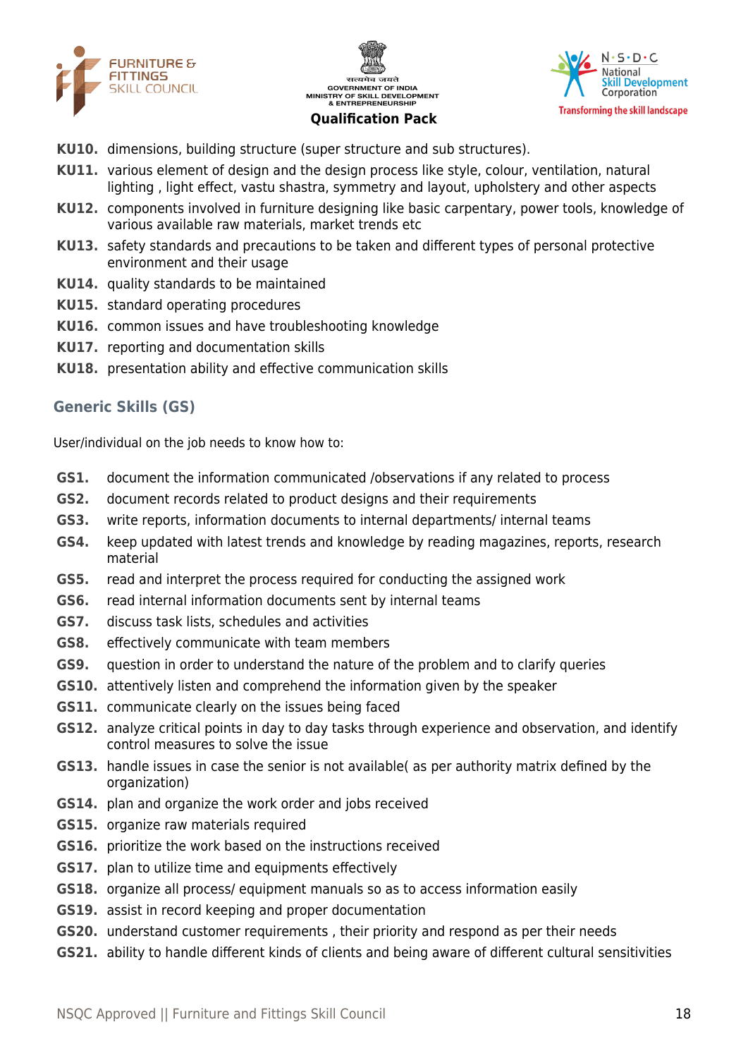





- **KU10.** dimensions, building structure (super structure and sub structures).
- **KU11.** various element of design and the design process like style, colour, ventilation, natural lighting , light effect, vastu shastra, symmetry and layout, upholstery and other aspects
- **KU12.** components involved in furniture designing like basic carpentary, power tools, knowledge of various available raw materials, market trends etc
- **KU13.** safety standards and precautions to be taken and different types of personal protective environment and their usage
- **KU14.** quality standards to be maintained
- **KU15.** standard operating procedures
- **KU16.** common issues and have troubleshooting knowledge
- **KU17.** reporting and documentation skills
- **KU18.** presentation ability and effective communication skills

# **Generic Skills (GS)**

User/individual on the job needs to know how to:

- **GS1.** document the information communicated /observations if any related to process
- **GS2.** document records related to product designs and their requirements
- **GS3.** write reports, information documents to internal departments/ internal teams
- **GS4.** keep updated with latest trends and knowledge by reading magazines, reports, research material
- **GS5.** read and interpret the process required for conducting the assigned work
- **GS6.** read internal information documents sent by internal teams
- **GS7.** discuss task lists, schedules and activities
- **GS8.** effectively communicate with team members
- **GS9.** question in order to understand the nature of the problem and to clarify queries
- **GS10.** attentively listen and comprehend the information given by the speaker
- **GS11.** communicate clearly on the issues being faced
- **GS12.** analyze critical points in day to day tasks through experience and observation, and identify control measures to solve the issue
- **GS13.** handle issues in case the senior is not available( as per authority matrix defined by the organization)
- **GS14.** plan and organize the work order and jobs received
- **GS15.** organize raw materials required
- **GS16.** prioritize the work based on the instructions received
- **GS17.** plan to utilize time and equipments effectively
- **GS18.** organize all process/ equipment manuals so as to access information easily
- **GS19.** assist in record keeping and proper documentation
- **GS20.** understand customer requirements , their priority and respond as per their needs
- **GS21.** ability to handle different kinds of clients and being aware of different cultural sensitivities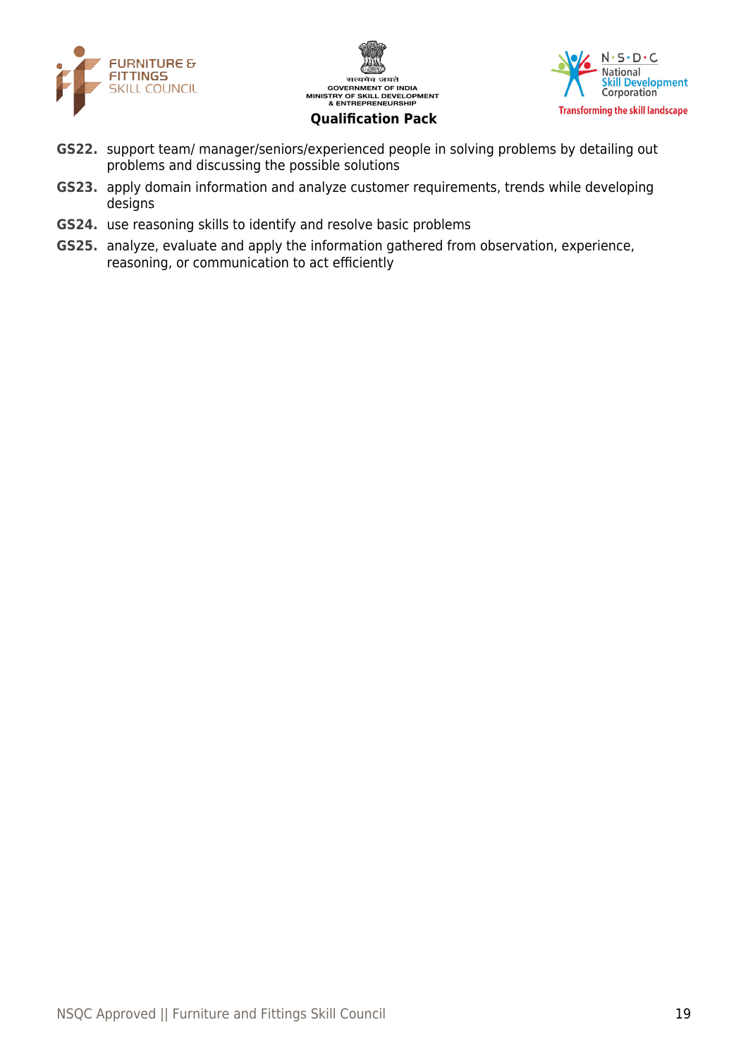





- **GS22.** support team/ manager/seniors/experienced people in solving problems by detailing out problems and discussing the possible solutions
- **GS23.** apply domain information and analyze customer requirements, trends while developing designs
- **GS24.** use reasoning skills to identify and resolve basic problems
- **GS25.** analyze, evaluate and apply the information gathered from observation, experience, reasoning, or communication to act efficiently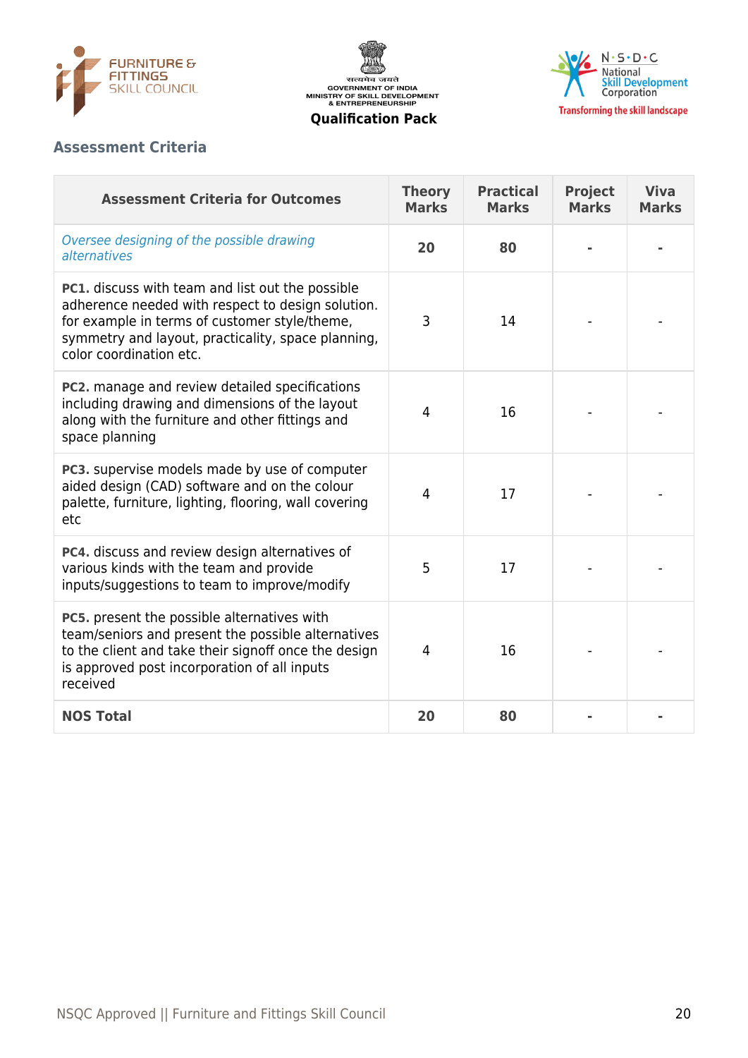





# **Assessment Criteria**

| <b>Assessment Criteria for Outcomes</b>                                                                                                                                                                                                        | <b>Theory</b><br><b>Marks</b> | <b>Practical</b><br><b>Marks</b> | <b>Project</b><br><b>Marks</b> | <b>Viva</b><br><b>Marks</b> |
|------------------------------------------------------------------------------------------------------------------------------------------------------------------------------------------------------------------------------------------------|-------------------------------|----------------------------------|--------------------------------|-----------------------------|
| Oversee designing of the possible drawing<br>alternatives                                                                                                                                                                                      | 20                            | 80                               |                                |                             |
| <b>PC1.</b> discuss with team and list out the possible<br>adherence needed with respect to design solution.<br>for example in terms of customer style/theme,<br>symmetry and layout, practicality, space planning,<br>color coordination etc. | 3                             | 14                               |                                |                             |
| <b>PC2.</b> manage and review detailed specifications<br>including drawing and dimensions of the layout<br>along with the furniture and other fittings and<br>space planning                                                                   | 4                             | 16                               |                                |                             |
| PC3. supervise models made by use of computer<br>aided design (CAD) software and on the colour<br>palette, furniture, lighting, flooring, wall covering<br>etc                                                                                 | 4                             | 17                               |                                |                             |
| PC4. discuss and review design alternatives of<br>various kinds with the team and provide<br>inputs/suggestions to team to improve/modify                                                                                                      | 5                             | 17                               |                                |                             |
| PC5. present the possible alternatives with<br>team/seniors and present the possible alternatives<br>to the client and take their signoff once the design<br>is approved post incorporation of all inputs<br>received                          | 4                             | 16                               |                                |                             |
| <b>NOS Total</b>                                                                                                                                                                                                                               | 20                            | 80                               |                                |                             |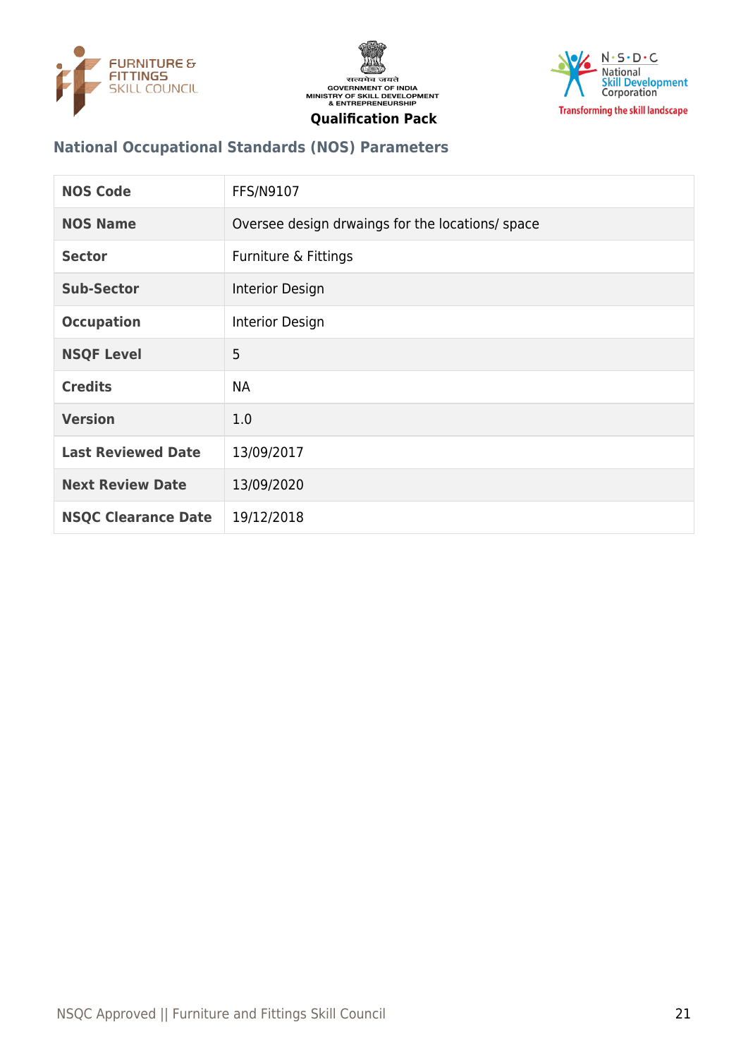





# **National Occupational Standards (NOS) Parameters**

| <b>NOS Code</b>            | FFS/N9107                                        |
|----------------------------|--------------------------------------------------|
| <b>NOS Name</b>            | Oversee design drwaings for the locations/ space |
| <b>Sector</b>              | Furniture & Fittings                             |
| <b>Sub-Sector</b>          | Interior Design                                  |
| <b>Occupation</b>          | Interior Design                                  |
| <b>NSQF Level</b>          | 5                                                |
| <b>Credits</b>             | <b>NA</b>                                        |
| <b>Version</b>             | 1.0                                              |
| <b>Last Reviewed Date</b>  | 13/09/2017                                       |
| <b>Next Review Date</b>    | 13/09/2020                                       |
| <b>NSQC Clearance Date</b> | 19/12/2018                                       |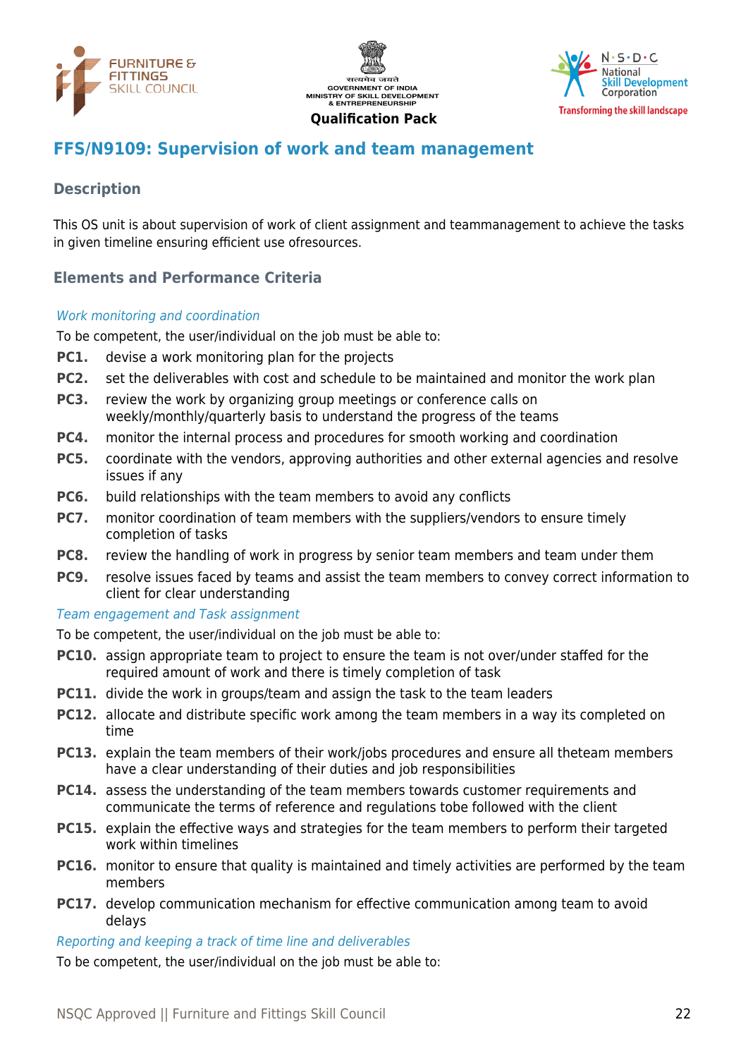





# <span id="page-21-0"></span>**FFS/N9109: Supervision of work and team management**

# **Description**

This OS unit is about supervision of work of client assignment and teammanagement to achieve the tasks in given timeline ensuring efficient use ofresources.

# **Elements and Performance Criteria**

### Work monitoring and coordination

To be competent, the user/individual on the job must be able to:

- **PC1.** devise a work monitoring plan for the projects
- **PC2.** set the deliverables with cost and schedule to be maintained and monitor the work plan
- **PC3.** review the work by organizing group meetings or conference calls on weekly/monthly/quarterly basis to understand the progress of the teams
- **PC4.** monitor the internal process and procedures for smooth working and coordination
- **PC5.** coordinate with the vendors, approving authorities and other external agencies and resolve issues if any
- **PC6.** build relationships with the team members to avoid any conflicts
- **PC7.** monitor coordination of team members with the suppliers/vendors to ensure timely completion of tasks
- **PC8.** review the handling of work in progress by senior team members and team under them
- **PC9.** resolve issues faced by teams and assist the team members to convey correct information to client for clear understanding

#### Team engagement and Task assignment

To be competent, the user/individual on the job must be able to:

- **PC10.** assign appropriate team to project to ensure the team is not over/under staffed for the required amount of work and there is timely completion of task
- **PC11.** divide the work in groups/team and assign the task to the team leaders
- **PC12.** allocate and distribute specific work among the team members in a way its completed on time
- **PC13.** explain the team members of their work/jobs procedures and ensure all theteam members have a clear understanding of their duties and job responsibilities
- **PC14.** assess the understanding of the team members towards customer requirements and communicate the terms of reference and regulations tobe followed with the client
- **PC15.** explain the effective ways and strategies for the team members to perform their targeted work within timelines
- **PC16.** monitor to ensure that quality is maintained and timely activities are performed by the team members
- **PC17.** develop communication mechanism for effective communication among team to avoid delays

### Reporting and keeping a track of time line and deliverables

To be competent, the user/individual on the job must be able to: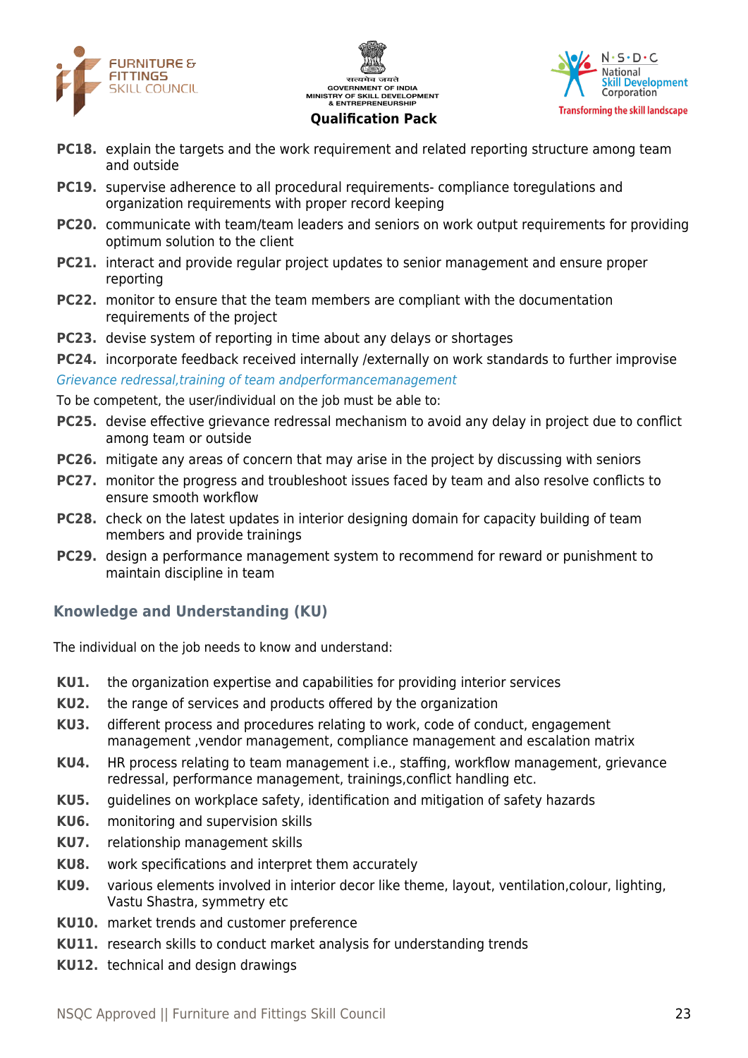





- **PC18.** explain the targets and the work requirement and related reporting structure among team and outside
- **PC19.** supervise adherence to all procedural requirements- compliance toregulations and organization requirements with proper record keeping
- **PC20.** communicate with team/team leaders and seniors on work output requirements for providing optimum solution to the client
- **PC21.** interact and provide regular project updates to senior management and ensure proper reporting
- **PC22.** monitor to ensure that the team members are compliant with the documentation requirements of the project
- **PC23.** devise system of reporting in time about any delays or shortages
- **PC24.** incorporate feedback received internally /externally on work standards to further improvise

Grievance redressal,training of team andperformancemanagement

To be competent, the user/individual on the job must be able to:

- **PC25.** devise effective grievance redressal mechanism to avoid any delay in project due to conflict among team or outside
- **PC26.** mitigate any areas of concern that may arise in the project by discussing with seniors
- **PC27.** monitor the progress and troubleshoot issues faced by team and also resolve conflicts to ensure smooth workflow
- **PC28.** check on the latest updates in interior designing domain for capacity building of team members and provide trainings
- **PC29.** design a performance management system to recommend for reward or punishment to maintain discipline in team

# **Knowledge and Understanding (KU)**

The individual on the job needs to know and understand:

- **KU1.** the organization expertise and capabilities for providing interior services
- **KU2.** the range of services and products offered by the organization
- **KU3.** different process and procedures relating to work, code of conduct, engagement management ,vendor management, compliance management and escalation matrix
- **KU4.** HR process relating to team management i.e., staffing, workflow management, grievance redressal, performance management, trainings,conflict handling etc.
- **KU5.** guidelines on workplace safety, identification and mitigation of safety hazards
- **KU6.** monitoring and supervision skills
- **KU7.** relationship management skills
- **KU8.** work specifications and interpret them accurately
- **KU9.** various elements involved in interior decor like theme, layout, ventilation,colour, lighting, Vastu Shastra, symmetry etc
- **KU10.** market trends and customer preference
- **KU11.** research skills to conduct market analysis for understanding trends
- **KU12.** technical and design drawings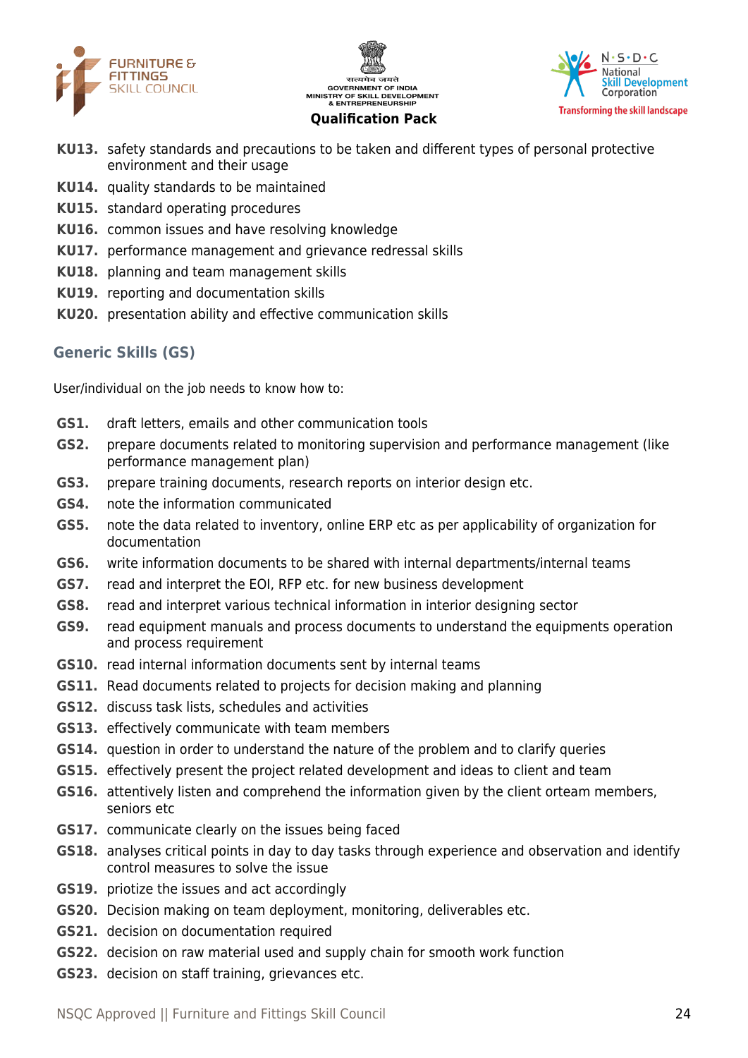





- **KU13.** safety standards and precautions to be taken and different types of personal protective environment and their usage
- **KU14.** quality standards to be maintained
- **KU15.** standard operating procedures
- **KU16.** common issues and have resolving knowledge
- **KU17.** performance management and grievance redressal skills
- **KU18.** planning and team management skills
- **KU19.** reporting and documentation skills
- **KU20.** presentation ability and effective communication skills

### **Generic Skills (GS)**

User/individual on the job needs to know how to:

- **GS1.** draft letters, emails and other communication tools
- **GS2.** prepare documents related to monitoring supervision and performance management (like performance management plan)
- **GS3.** prepare training documents, research reports on interior design etc.
- **GS4.** note the information communicated
- **GS5.** note the data related to inventory, online ERP etc as per applicability of organization for documentation
- **GS6.** write information documents to be shared with internal departments/internal teams
- **GS7.** read and interpret the EOI, RFP etc. for new business development
- **GS8.** read and interpret various technical information in interior designing sector
- **GS9.** read equipment manuals and process documents to understand the equipments operation and process requirement
- **GS10.** read internal information documents sent by internal teams
- **GS11.** Read documents related to projects for decision making and planning
- **GS12.** discuss task lists, schedules and activities
- **GS13.** effectively communicate with team members
- **GS14.** question in order to understand the nature of the problem and to clarify queries
- **GS15.** effectively present the project related development and ideas to client and team
- **GS16.** attentively listen and comprehend the information given by the client orteam members, seniors etc
- **GS17.** communicate clearly on the issues being faced
- **GS18.** analyses critical points in day to day tasks through experience and observation and identify control measures to solve the issue
- **GS19.** priotize the issues and act accordingly
- **GS20.** Decision making on team deployment, monitoring, deliverables etc.
- **GS21.** decision on documentation required
- **GS22.** decision on raw material used and supply chain for smooth work function
- **GS23.** decision on staff training, grievances etc.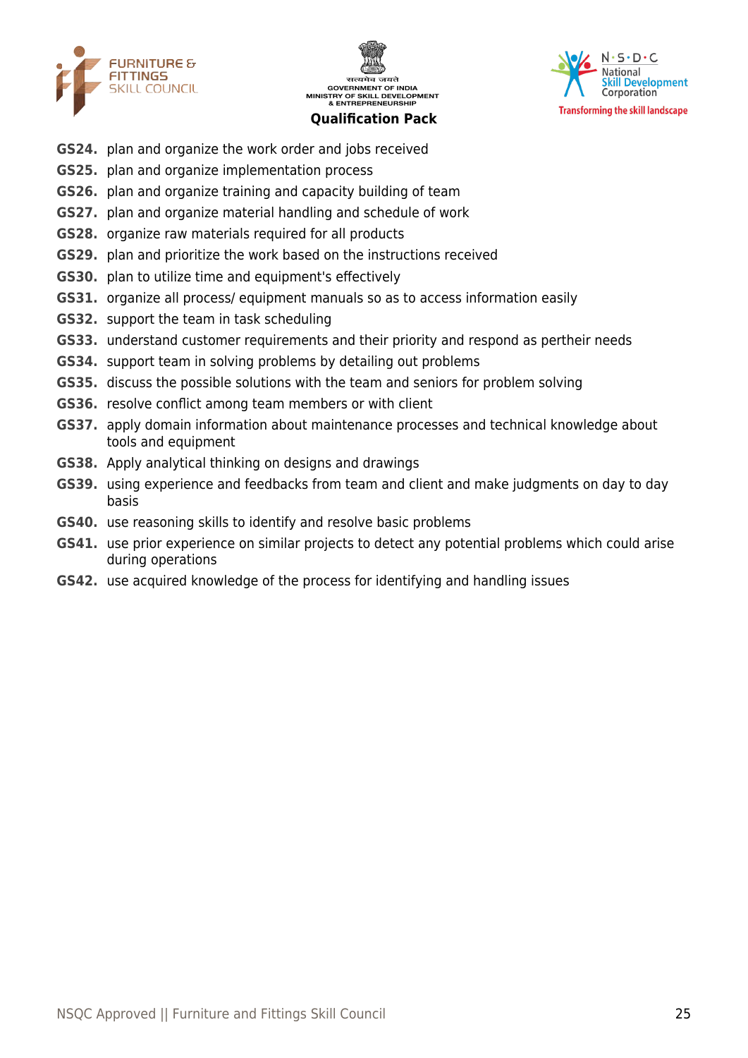





- **GS24.** plan and organize the work order and jobs received
- **GS25.** plan and organize implementation process
- **GS26.** plan and organize training and capacity building of team
- **GS27.** plan and organize material handling and schedule of work
- **GS28.** organize raw materials required for all products
- **GS29.** plan and prioritize the work based on the instructions received
- **GS30.** plan to utilize time and equipment's effectively
- **GS31.** organize all process/ equipment manuals so as to access information easily
- **GS32.** support the team in task scheduling
- **GS33.** understand customer requirements and their priority and respond as pertheir needs
- **GS34.** support team in solving problems by detailing out problems
- **GS35.** discuss the possible solutions with the team and seniors for problem solving
- **GS36.** resolve conflict among team members or with client
- **GS37.** apply domain information about maintenance processes and technical knowledge about tools and equipment
- **GS38.** Apply analytical thinking on designs and drawings
- **GS39.** using experience and feedbacks from team and client and make judgments on day to day basis
- **GS40.** use reasoning skills to identify and resolve basic problems
- **GS41.** use prior experience on similar projects to detect any potential problems which could arise during operations
- **GS42.** use acquired knowledge of the process for identifying and handling issues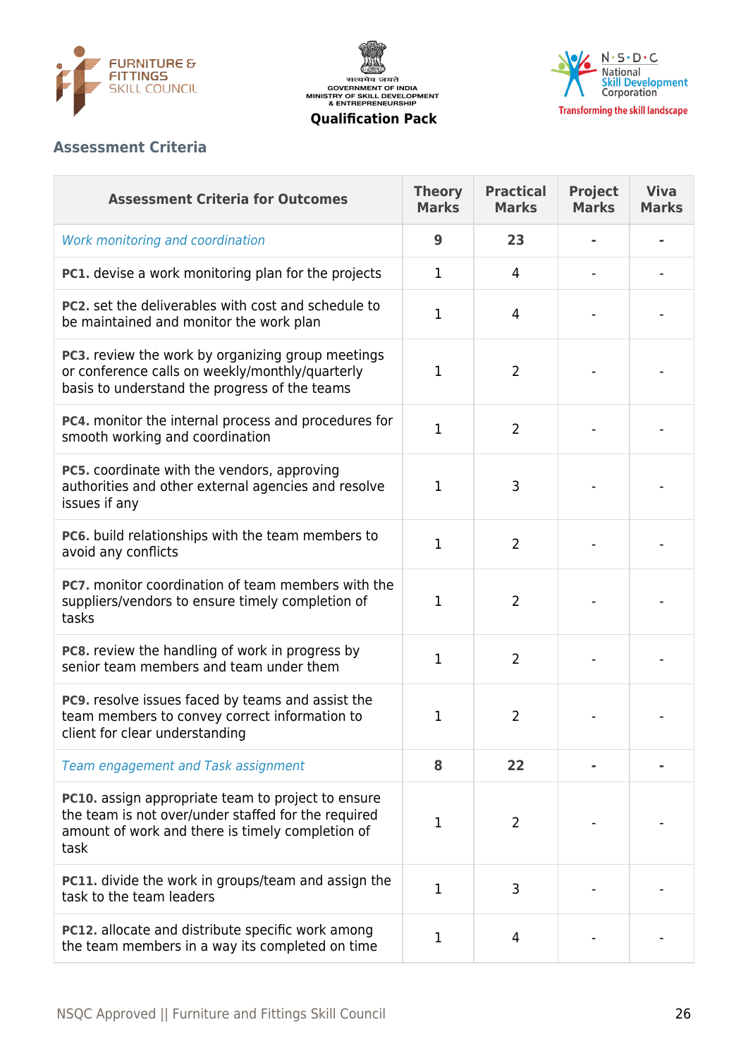





# **Assessment Criteria**

| <b>Assessment Criteria for Outcomes</b>                                                                                                                               | <b>Theory</b><br><b>Marks</b> | <b>Practical</b><br><b>Marks</b> | <b>Project</b><br><b>Marks</b> | <b>Viva</b><br><b>Marks</b> |
|-----------------------------------------------------------------------------------------------------------------------------------------------------------------------|-------------------------------|----------------------------------|--------------------------------|-----------------------------|
| Work monitoring and coordination                                                                                                                                      | 9                             | 23                               |                                |                             |
| PC1. devise a work monitoring plan for the projects                                                                                                                   | $\mathbf{1}$                  | 4                                |                                |                             |
| <b>PC2.</b> set the deliverables with cost and schedule to<br>be maintained and monitor the work plan                                                                 | 1                             | 4                                |                                |                             |
| PC3. review the work by organizing group meetings<br>or conference calls on weekly/monthly/quarterly<br>basis to understand the progress of the teams                 | 1                             | $\overline{2}$                   |                                |                             |
| PC4. monitor the internal process and procedures for<br>smooth working and coordination                                                                               | $\mathbf{1}$                  | $\overline{2}$                   |                                |                             |
| PC5. coordinate with the vendors, approving<br>authorities and other external agencies and resolve<br>issues if any                                                   | 1                             | 3                                |                                |                             |
| PC6. build relationships with the team members to<br>avoid any conflicts                                                                                              | $\mathbf{1}$                  | $\overline{2}$                   |                                |                             |
| <b>PC7.</b> monitor coordination of team members with the<br>suppliers/vendors to ensure timely completion of<br>tasks                                                | 1                             | $\overline{2}$                   |                                |                             |
| <b>PC8.</b> review the handling of work in progress by<br>senior team members and team under them                                                                     | 1                             | $\overline{2}$                   |                                |                             |
| PC9. resolve issues faced by teams and assist the<br>team members to convey correct information to<br>client for clear understanding                                  | 1                             | 2                                |                                |                             |
| Team engagement and Task assignment                                                                                                                                   | 8                             | 22                               |                                |                             |
| PC10. assign appropriate team to project to ensure<br>the team is not over/under staffed for the required<br>amount of work and there is timely completion of<br>task | $\mathbf{1}$                  | $\overline{2}$                   |                                |                             |
| <b>PC11.</b> divide the work in groups/team and assign the<br>task to the team leaders                                                                                | $\mathbf{1}$                  | 3                                |                                |                             |
| PC12. allocate and distribute specific work among<br>the team members in a way its completed on time                                                                  | 1                             | 4                                |                                |                             |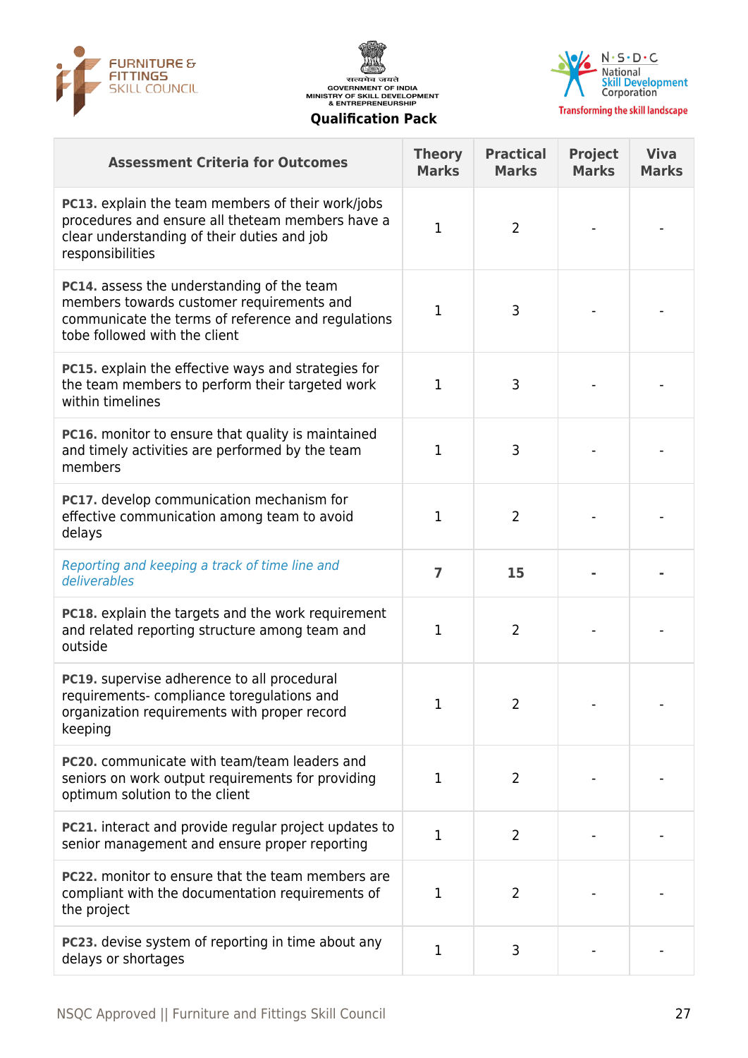





| <b>Assessment Criteria for Outcomes</b>                                                                                                                                         | <b>Theory</b><br><b>Marks</b> | <b>Practical</b><br><b>Marks</b> | <b>Project</b><br><b>Marks</b> | <b>Viva</b><br><b>Marks</b> |
|---------------------------------------------------------------------------------------------------------------------------------------------------------------------------------|-------------------------------|----------------------------------|--------------------------------|-----------------------------|
| <b>PC13.</b> explain the team members of their work/jobs<br>procedures and ensure all theteam members have a<br>clear understanding of their duties and job<br>responsibilities | $\mathbf{1}$                  | $\overline{2}$                   |                                |                             |
| PC14. assess the understanding of the team<br>members towards customer requirements and<br>communicate the terms of reference and regulations<br>tobe followed with the client  | $\mathbf{1}$                  | 3                                |                                |                             |
| <b>PC15.</b> explain the effective ways and strategies for<br>the team members to perform their targeted work<br>within timelines                                               | 1                             | 3                                |                                |                             |
| <b>PC16.</b> monitor to ensure that quality is maintained<br>and timely activities are performed by the team<br>members                                                         | $\mathbf{1}$                  | 3                                |                                |                             |
| PC17. develop communication mechanism for<br>effective communication among team to avoid<br>delays                                                                              | 1                             | $\overline{2}$                   |                                |                             |
| Reporting and keeping a track of time line and<br>deliverables                                                                                                                  | $\overline{7}$                | 15                               |                                |                             |
| <b>PC18.</b> explain the targets and the work requirement<br>and related reporting structure among team and<br>outside                                                          | 1                             | 2                                |                                |                             |
| PC19. supervise adherence to all procedural<br>requirements-compliance toregulations and<br>organization requirements with proper record<br>keeping                             | 1                             | 2                                |                                |                             |
| PC20. communicate with team/team leaders and<br>seniors on work output requirements for providing<br>optimum solution to the client                                             | $\mathbf{1}$                  | $\overline{2}$                   |                                |                             |
| PC21. interact and provide regular project updates to<br>senior management and ensure proper reporting                                                                          | $\mathbf{1}$                  | $\overline{2}$                   |                                |                             |
| PC22. monitor to ensure that the team members are<br>compliant with the documentation requirements of<br>the project                                                            | 1                             | 2                                |                                |                             |
| PC23. devise system of reporting in time about any<br>delays or shortages                                                                                                       | 1                             | 3                                |                                |                             |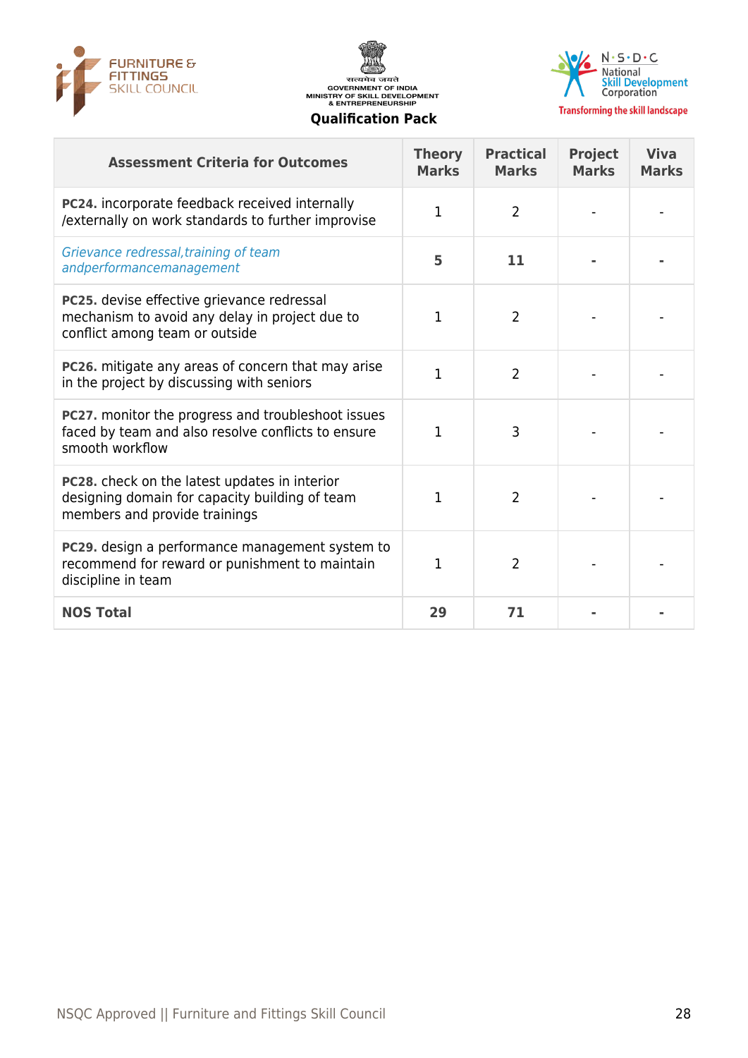





**Transforming the skill landscape** 

#### **Assessment Criteria for Outcomes Theory Marks Practical Marks Project Marks Viva Marks PC24.** incorporate feedback received internally PC24. Incorporate reedback received internally<br>/externally on work standards to further improvise  $\begin{vmatrix} 1 & 2 \end{vmatrix}$ Grievance redressal,training of team andperformancemanagement **<sup>5</sup> <sup>11</sup> - - PC25.** devise effective grievance redressal mechanism to avoid any delay in project due to conflict among team or outside  $1 \quad 2 \quad \cdots$ **PC26.** mitigate any areas of concern that may arise in the project by discussing with seniors and the project by discussing with seniors **PC27.** monitor the progress and troubleshoot issues faced by team and also resolve conflicts to ensure smooth workflow  $1 \quad | \quad 3 \quad | \quad - | \quad -$ **PC28.** check on the latest updates in interior designing domain for capacity building of team members and provide trainings  $1 \quad \vert \quad \quad 2 \quad \vert \quad \quad - \quad \vert \quad \quad -$ **PC29.** design a performance management system to recommend for reward or punishment to maintain discipline in team  $1 \quad 2 \quad \cdots$ **NOS Total 29 71 - -**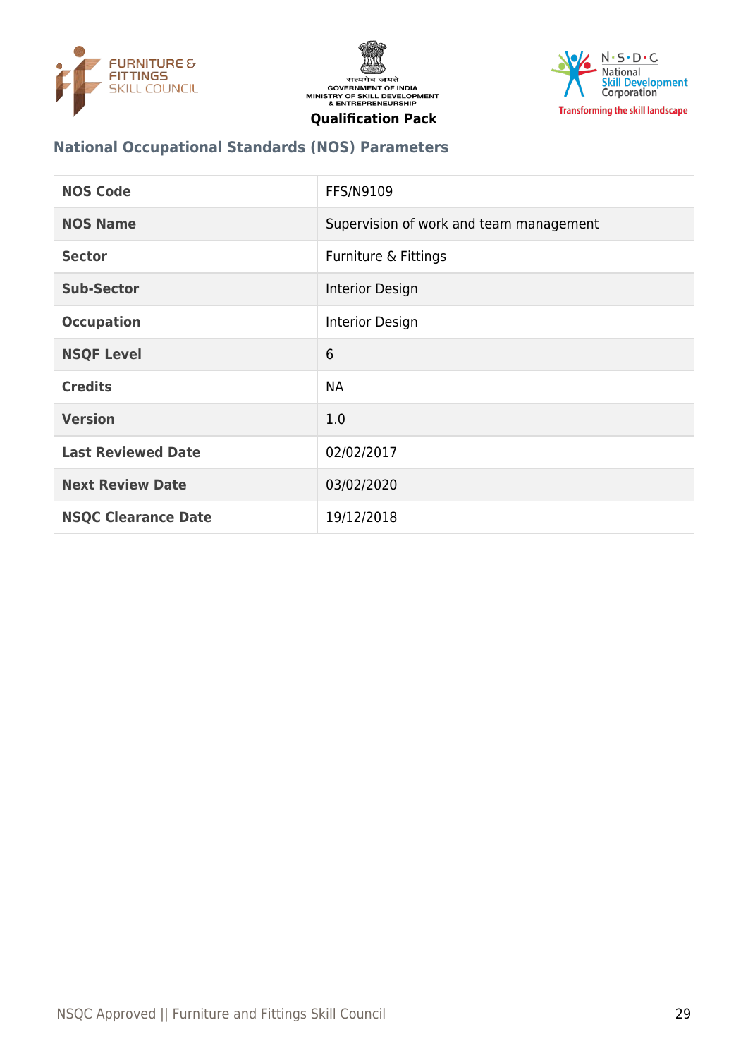





# **National Occupational Standards (NOS) Parameters**

| <b>NOS Code</b>            | <b>FFS/N9109</b>                        |
|----------------------------|-----------------------------------------|
| <b>NOS Name</b>            | Supervision of work and team management |
| <b>Sector</b>              | Furniture & Fittings                    |
| <b>Sub-Sector</b>          | Interior Design                         |
| <b>Occupation</b>          | Interior Design                         |
| <b>NSQF Level</b>          | 6                                       |
| <b>Credits</b>             | <b>NA</b>                               |
| <b>Version</b>             | 1.0                                     |
| <b>Last Reviewed Date</b>  | 02/02/2017                              |
| <b>Next Review Date</b>    | 03/02/2020                              |
| <b>NSQC Clearance Date</b> | 19/12/2018                              |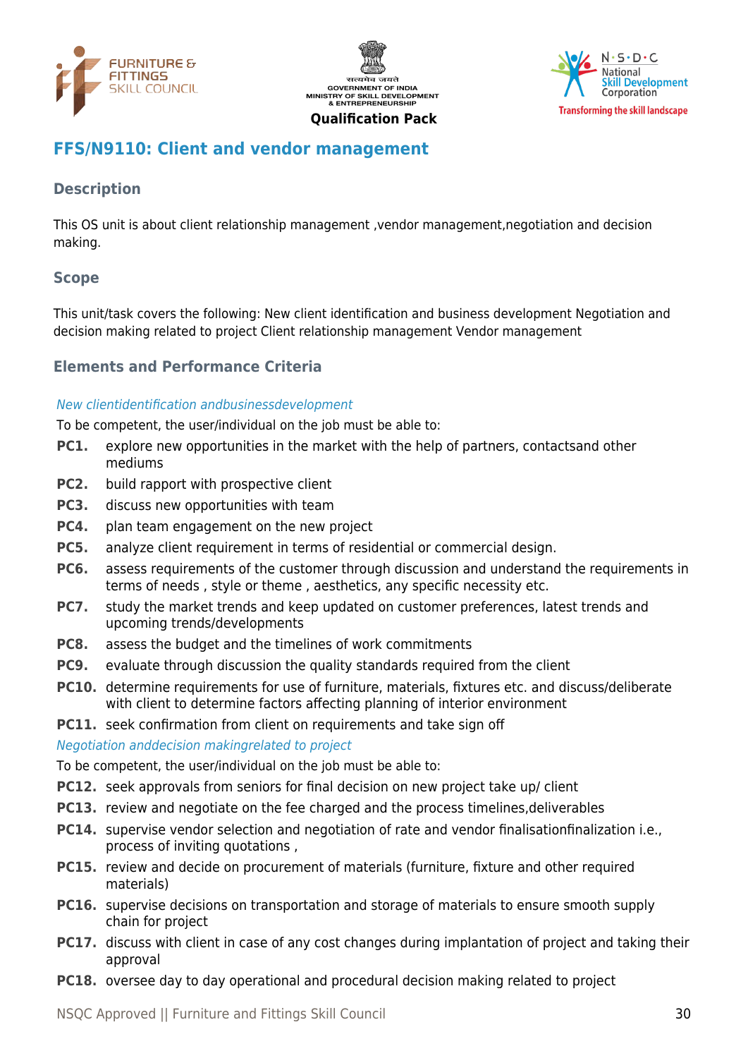





# <span id="page-29-0"></span>**FFS/N9110: Client and vendor management**

# **Description**

This OS unit is about client relationship management ,vendor management,negotiation and decision making.

# **Scope**

This unit/task covers the following: New client identification and business development Negotiation and decision making related to project Client relationship management Vendor management

# **Elements and Performance Criteria**

### New clientidentification andbusinessdevelopment

To be competent, the user/individual on the job must be able to:

- **PC1.** explore new opportunities in the market with the help of partners, contactsand other mediums
- **PC2.** build rapport with prospective client
- **PC3.** discuss new opportunities with team
- **PC4.** plan team engagement on the new project
- **PC5.** analyze client requirement in terms of residential or commercial design.
- **PC6.** assess requirements of the customer through discussion and understand the requirements in terms of needs , style or theme , aesthetics, any specific necessity etc.
- **PC7.** study the market trends and keep updated on customer preferences, latest trends and upcoming trends/developments
- **PC8.** assess the budget and the timelines of work commitments
- **PC9.** evaluate through discussion the quality standards required from the client
- **PC10.** determine requirements for use of furniture, materials, fixtures etc. and discuss/deliberate with client to determine factors affecting planning of interior environment

**PC11.** seek confirmation from client on requirements and take sign off

### Negotiation anddecision makingrelated to project

To be competent, the user/individual on the job must be able to:

- **PC12.** seek approvals from seniors for final decision on new project take up/ client
- **PC13.** review and negotiate on the fee charged and the process timelines, deliverables
- **PC14.** supervise vendor selection and negotiation of rate and vendor finalisationfinalization i.e., process of inviting quotations ,
- **PC15.** review and decide on procurement of materials (furniture, fixture and other required materials)
- **PC16.** supervise decisions on transportation and storage of materials to ensure smooth supply chain for project
- **PC17.** discuss with client in case of any cost changes during implantation of project and taking their approval
- **PC18.** oversee day to day operational and procedural decision making related to project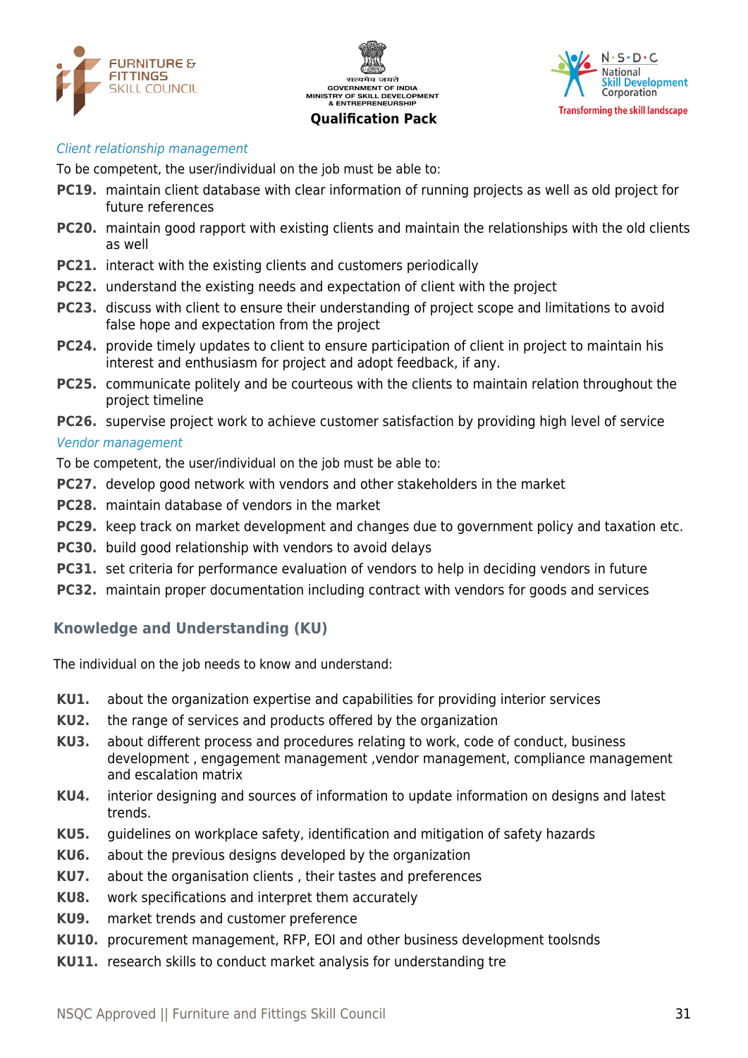

सत्यमेव जयते **GOVERNMENT OF INDIA** MINISTRY OF SKILL DEVELOPMENT<br>& ENTREPRENEURSHIP

### **Qualification Pack**



#### Client relationship management

To be competent, the user/individual on the job must be able to:

- **PC19.** maintain client database with clear information of running projects as well as old project for future references
- **PC20.** maintain good rapport with existing clients and maintain the relationships with the old clients as well
- **PC21.** interact with the existing clients and customers periodically
- **PC22.** understand the existing needs and expectation of client with the project
- **PC23.** discuss with client to ensure their understanding of project scope and limitations to avoid false hope and expectation from the project
- **PC24.** provide timely updates to client to ensure participation of client in project to maintain his interest and enthusiasm for project and adopt feedback, if any.
- **PC25.** communicate politely and be courteous with the clients to maintain relation throughout the project timeline
- **PC26.** supervise project work to achieve customer satisfaction by providing high level of service Vendor management

To be competent, the user/individual on the job must be able to:

- **PC27.** develop good network with vendors and other stakeholders in the market
- **PC28.** maintain database of vendors in the market
- **PC29.** keep track on market development and changes due to government policy and taxation etc.
- **PC30.** build good relationship with vendors to avoid delays
- **PC31.** set criteria for performance evaluation of vendors to help in deciding vendors in future
- **PC32.** maintain proper documentation including contract with vendors for goods and services

### **Knowledge and Understanding (KU)**

The individual on the job needs to know and understand:

- **KU1.** about the organization expertise and capabilities for providing interior services
- **KU2.** the range of services and products offered by the organization
- **KU3.** about different process and procedures relating to work, code of conduct, business development , engagement management ,vendor management, compliance management and escalation matrix
- **KU4.** interior designing and sources of information to update information on designs and latest trends.
- **KU5.** guidelines on workplace safety, identification and mitigation of safety hazards
- **KU6.** about the previous designs developed by the organization
- **KU7.** about the organisation clients , their tastes and preferences
- **KU8.** work specifications and interpret them accurately
- **KU9.** market trends and customer preference
- **KU10.** procurement management, RFP, EOI and other business development toolsnds
- **KU11.** research skills to conduct market analysis for understanding tre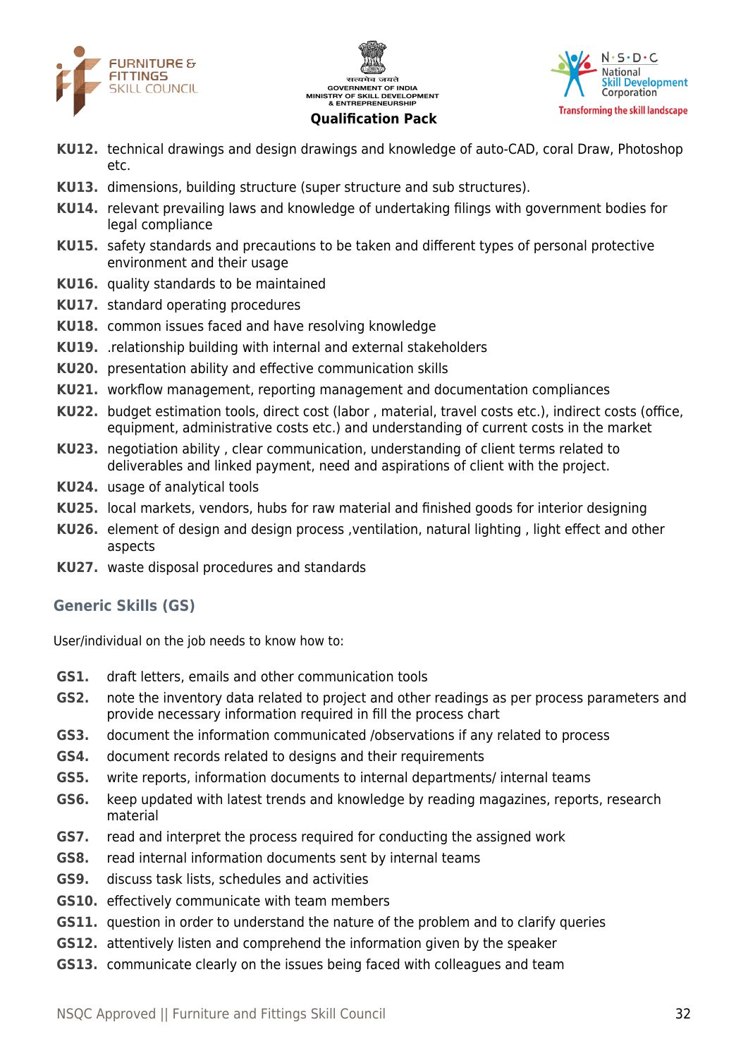





- **KU12.** technical drawings and design drawings and knowledge of auto-CAD, coral Draw, Photoshop etc.
- **KU13.** dimensions, building structure (super structure and sub structures).
- **KU14.** relevant prevailing laws and knowledge of undertaking filings with government bodies for legal compliance
- **KU15.** safety standards and precautions to be taken and different types of personal protective environment and their usage
- **KU16.** quality standards to be maintained
- **KU17.** standard operating procedures
- **KU18.** common issues faced and have resolving knowledge
- **KU19.** .relationship building with internal and external stakeholders
- **KU20.** presentation ability and effective communication skills
- **KU21.** workflow management, reporting management and documentation compliances
- **KU22.** budget estimation tools, direct cost (labor , material, travel costs etc.), indirect costs (office, equipment, administrative costs etc.) and understanding of current costs in the market
- **KU23.** negotiation ability , clear communication, understanding of client terms related to deliverables and linked payment, need and aspirations of client with the project.
- **KU24.** usage of analytical tools
- **KU25.** local markets, vendors, hubs for raw material and finished goods for interior designing
- **KU26.** element of design and design process ,ventilation, natural lighting , light effect and other aspects
- **KU27.** waste disposal procedures and standards

# **Generic Skills (GS)**

User/individual on the job needs to know how to:

- **GS1.** draft letters, emails and other communication tools
- **GS2.** note the inventory data related to project and other readings as per process parameters and provide necessary information required in fill the process chart
- **GS3.** document the information communicated /observations if any related to process
- **GS4.** document records related to designs and their requirements
- **GS5.** write reports, information documents to internal departments/ internal teams
- **GS6.** keep updated with latest trends and knowledge by reading magazines, reports, research material
- **GS7.** read and interpret the process required for conducting the assigned work
- **GS8.** read internal information documents sent by internal teams
- **GS9.** discuss task lists, schedules and activities
- **GS10.** effectively communicate with team members
- **GS11.** question in order to understand the nature of the problem and to clarify queries
- **GS12.** attentively listen and comprehend the information given by the speaker
- **GS13.** communicate clearly on the issues being faced with colleagues and team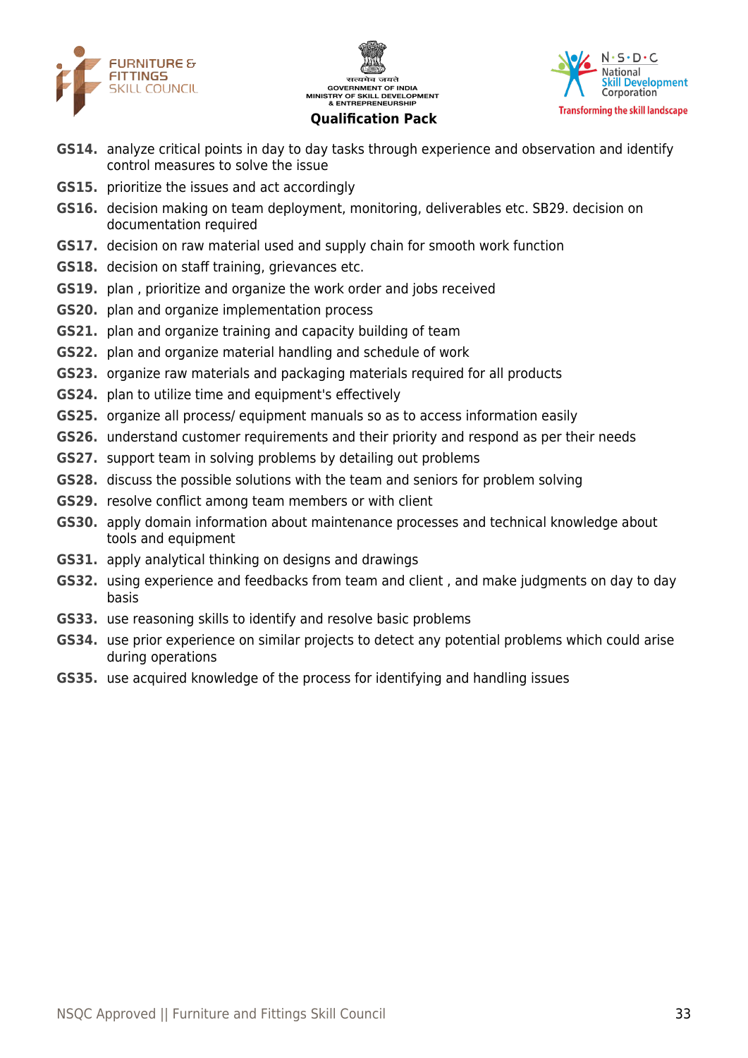





- **GS14.** analyze critical points in day to day tasks through experience and observation and identify control measures to solve the issue
- **GS15.** prioritize the issues and act accordingly
- **GS16.** decision making on team deployment, monitoring, deliverables etc. SB29. decision on documentation required
- **GS17.** decision on raw material used and supply chain for smooth work function
- **GS18.** decision on staff training, grievances etc.
- **GS19.** plan , prioritize and organize the work order and jobs received
- **GS20.** plan and organize implementation process
- **GS21.** plan and organize training and capacity building of team
- **GS22.** plan and organize material handling and schedule of work
- **GS23.** organize raw materials and packaging materials required for all products
- **GS24.** plan to utilize time and equipment's effectively
- **GS25.** organize all process/ equipment manuals so as to access information easily
- **GS26.** understand customer requirements and their priority and respond as per their needs
- **GS27.** support team in solving problems by detailing out problems
- **GS28.** discuss the possible solutions with the team and seniors for problem solving
- **GS29.** resolve conflict among team members or with client
- **GS30.** apply domain information about maintenance processes and technical knowledge about tools and equipment
- **GS31.** apply analytical thinking on designs and drawings
- **GS32.** using experience and feedbacks from team and client , and make judgments on day to day basis
- **GS33.** use reasoning skills to identify and resolve basic problems
- **GS34.** use prior experience on similar projects to detect any potential problems which could arise during operations
- **GS35.** use acquired knowledge of the process for identifying and handling issues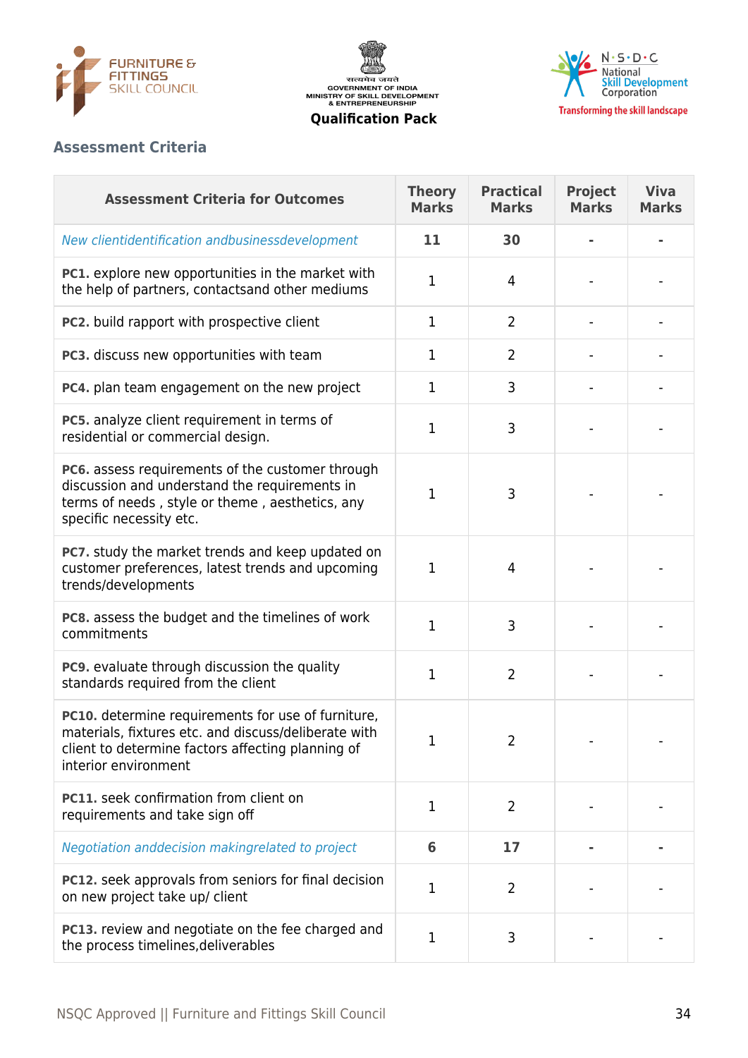





# **Assessment Criteria**

| <b>Assessment Criteria for Outcomes</b>                                                                                                                                                 | <b>Theory</b><br><b>Marks</b> | <b>Practical</b><br><b>Marks</b> | <b>Project</b><br><b>Marks</b> | <b>Viva</b><br><b>Marks</b> |
|-----------------------------------------------------------------------------------------------------------------------------------------------------------------------------------------|-------------------------------|----------------------------------|--------------------------------|-----------------------------|
| New clientidentification andbusinessdevelopment                                                                                                                                         | 11                            | 30                               |                                |                             |
| PC1. explore new opportunities in the market with<br>the help of partners, contactsand other mediums                                                                                    | 1                             | 4                                |                                |                             |
| PC2. build rapport with prospective client                                                                                                                                              | 1                             | $\overline{2}$                   |                                |                             |
| PC3. discuss new opportunities with team                                                                                                                                                | 1                             | $\overline{2}$                   |                                |                             |
| PC4. plan team engagement on the new project                                                                                                                                            | 1                             | 3                                |                                |                             |
| PC5. analyze client requirement in terms of<br>residential or commercial design.                                                                                                        | 1                             | 3                                |                                |                             |
| PC6. assess requirements of the customer through<br>discussion and understand the requirements in<br>terms of needs, style or theme, aesthetics, any<br>specific necessity etc.         | 1                             | 3                                |                                |                             |
| PC7. study the market trends and keep updated on<br>customer preferences, latest trends and upcoming<br>trends/developments                                                             | 1                             | 4                                |                                |                             |
| PC8. assess the budget and the timelines of work<br>commitments                                                                                                                         | 1                             | 3                                |                                |                             |
| PC9. evaluate through discussion the quality<br>standards required from the client                                                                                                      | 1                             | $\overline{2}$                   |                                |                             |
| PC10. determine requirements for use of furniture,<br>materials, fixtures etc. and discuss/deliberate with<br>client to determine factors affecting planning of<br>interior environment | 1                             | 2                                |                                |                             |
| PC11. seek confirmation from client on<br>requirements and take sign off                                                                                                                | 1                             | $\overline{2}$                   |                                |                             |
| Negotiation anddecision makingrelated to project                                                                                                                                        | 6                             | 17                               |                                |                             |
| PC12. seek approvals from seniors for final decision<br>on new project take up/ client                                                                                                  | 1                             | $\overline{2}$                   |                                |                             |
| PC13. review and negotiate on the fee charged and<br>the process timelines, deliverables                                                                                                | 1                             | 3                                |                                |                             |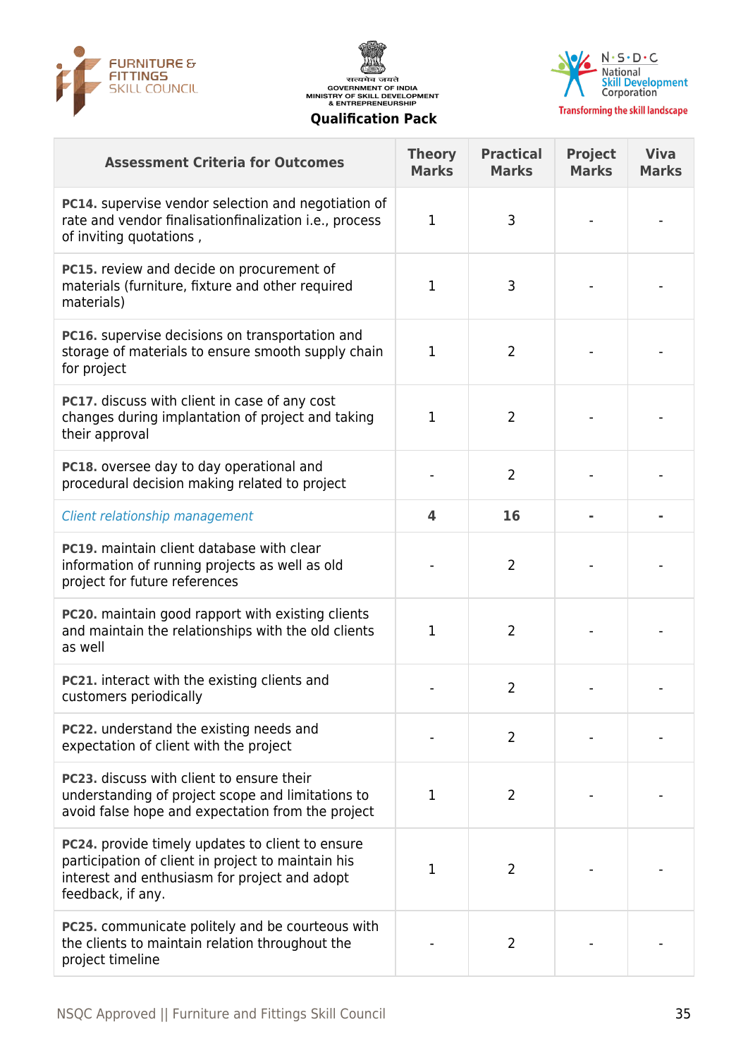





| <b>Assessment Criteria for Outcomes</b>                                                                                                                                      | <b>Theory</b><br><b>Marks</b> | <b>Practical</b><br><b>Marks</b> | <b>Project</b><br><b>Marks</b> | <b>Viva</b><br><b>Marks</b> |
|------------------------------------------------------------------------------------------------------------------------------------------------------------------------------|-------------------------------|----------------------------------|--------------------------------|-----------------------------|
| PC14. supervise vendor selection and negotiation of<br>rate and vendor finalisationfinalization i.e., process<br>of inviting quotations,                                     | 1                             | 3                                |                                |                             |
| PC15. review and decide on procurement of<br>materials (furniture, fixture and other required<br>materials)                                                                  | 1                             | 3                                |                                |                             |
| PC16. supervise decisions on transportation and<br>storage of materials to ensure smooth supply chain<br>for project                                                         | $\mathbf{1}$                  | $\overline{2}$                   |                                |                             |
| PC17. discuss with client in case of any cost<br>changes during implantation of project and taking<br>their approval                                                         | $\mathbf 1$                   | $\overline{2}$                   |                                |                             |
| PC18. oversee day to day operational and<br>procedural decision making related to project                                                                                    |                               | $\overline{2}$                   |                                |                             |
| Client relationship management                                                                                                                                               | 4                             | 16                               |                                |                             |
| <b>PC19.</b> maintain client database with clear<br>information of running projects as well as old<br>project for future references                                          |                               | $\overline{2}$                   |                                |                             |
| PC20. maintain good rapport with existing clients<br>and maintain the relationships with the old clients<br>as well                                                          | 1                             | $\overline{2}$                   |                                |                             |
| PC21. interact with the existing clients and<br>customers periodically                                                                                                       |                               | $\overline{2}$                   |                                |                             |
| <b>PC22.</b> understand the existing needs and<br>expectation of client with the project                                                                                     |                               | $\overline{2}$                   |                                |                             |
| <b>PC23.</b> discuss with client to ensure their<br>understanding of project scope and limitations to<br>avoid false hope and expectation from the project                   | 1                             | $\overline{2}$                   |                                |                             |
| PC24. provide timely updates to client to ensure<br>participation of client in project to maintain his<br>interest and enthusiasm for project and adopt<br>feedback, if any. | 1                             | 2                                |                                |                             |
| <b>PC25.</b> communicate politely and be courteous with<br>the clients to maintain relation throughout the<br>project timeline                                               |                               | $\overline{2}$                   |                                |                             |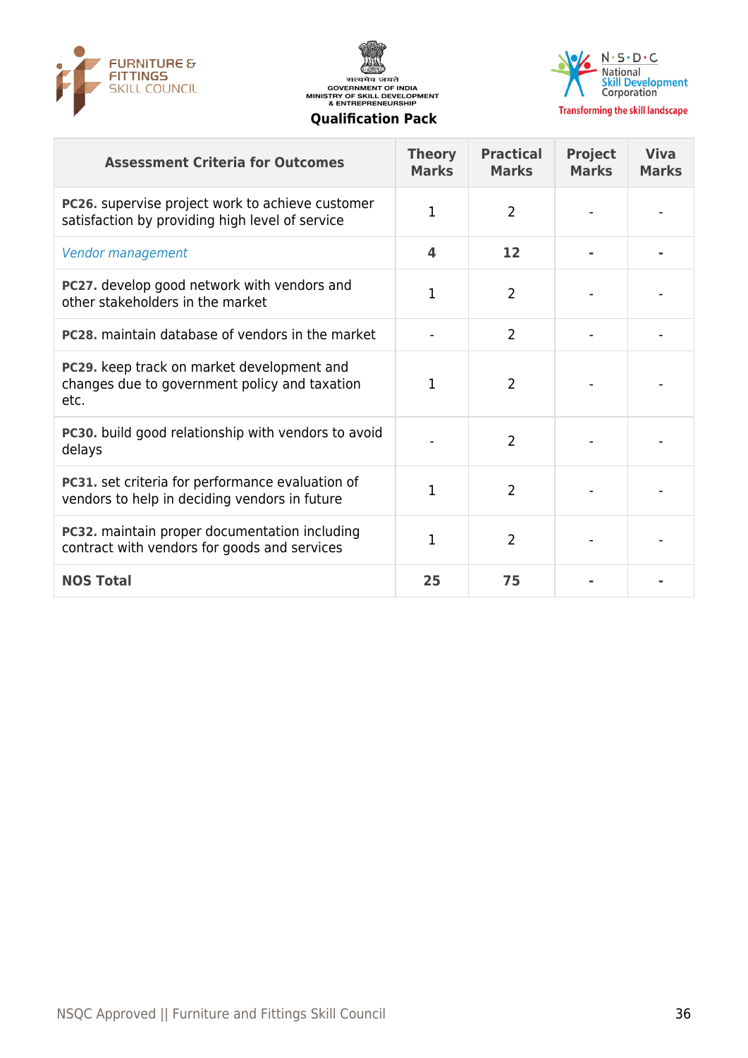





| <b>Assessment Criteria for Outcomes</b>                                                             | <b>Theory</b><br><b>Marks</b> | <b>Practical</b><br><b>Marks</b> | <b>Project</b><br><b>Marks</b> | <b>Viva</b><br><b>Marks</b> |
|-----------------------------------------------------------------------------------------------------|-------------------------------|----------------------------------|--------------------------------|-----------------------------|
| PC26. supervise project work to achieve customer<br>satisfaction by providing high level of service | 1                             | $\overline{2}$                   |                                |                             |
| Vendor management                                                                                   | 4                             | 12                               |                                |                             |
| PC27. develop good network with vendors and<br>other stakeholders in the market                     | 1                             | $\overline{2}$                   |                                |                             |
| <b>PC28.</b> maintain database of vendors in the market                                             |                               | $\overline{2}$                   |                                |                             |
| PC29. keep track on market development and<br>changes due to government policy and taxation<br>etc. | 1                             | $\overline{2}$                   |                                |                             |
| PC30. build good relationship with vendors to avoid<br>delays                                       |                               | $\overline{2}$                   |                                |                             |
| PC31. set criteria for performance evaluation of<br>vendors to help in deciding vendors in future   | 1                             | $\overline{2}$                   |                                |                             |
| PC32. maintain proper documentation including<br>contract with vendors for goods and services       | 1                             | $\overline{2}$                   |                                |                             |
| <b>NOS Total</b>                                                                                    | 25                            | 75                               |                                |                             |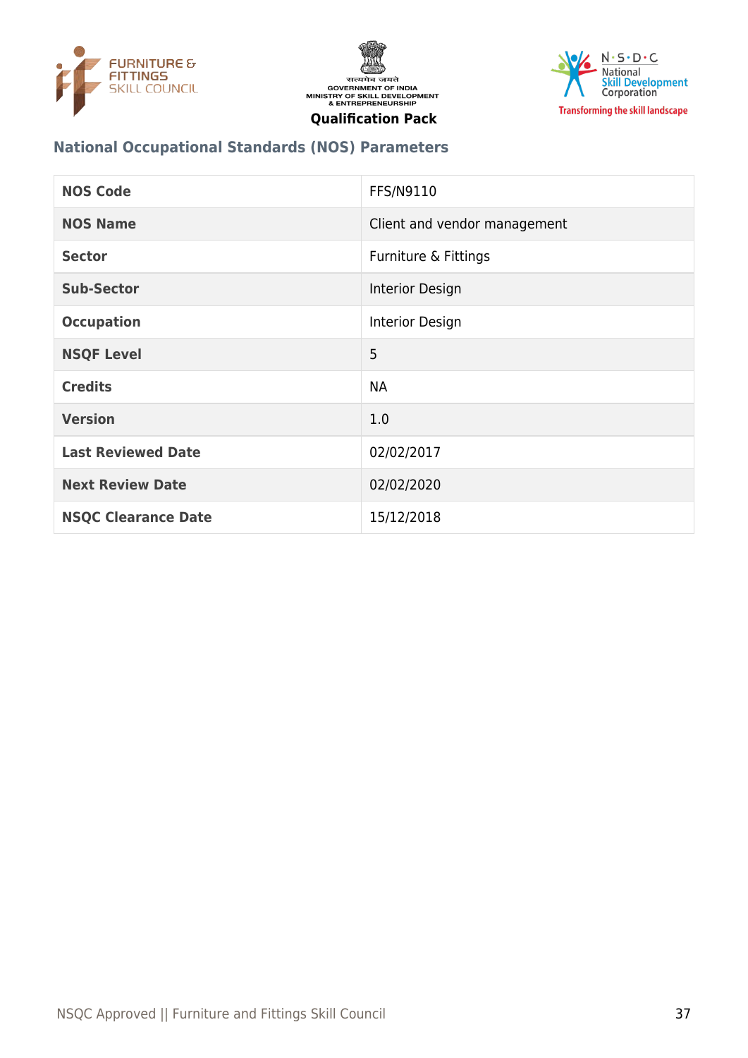





# **National Occupational Standards (NOS) Parameters**

| <b>NOS Code</b>            | FFS/N9110                    |
|----------------------------|------------------------------|
| <b>NOS Name</b>            | Client and vendor management |
| <b>Sector</b>              | Furniture & Fittings         |
| <b>Sub-Sector</b>          | Interior Design              |
| <b>Occupation</b>          | Interior Design              |
| <b>NSQF Level</b>          | 5                            |
| <b>Credits</b>             | <b>NA</b>                    |
| <b>Version</b>             | 1.0                          |
| <b>Last Reviewed Date</b>  | 02/02/2017                   |
| <b>Next Review Date</b>    | 02/02/2020                   |
| <b>NSQC Clearance Date</b> | 15/12/2018                   |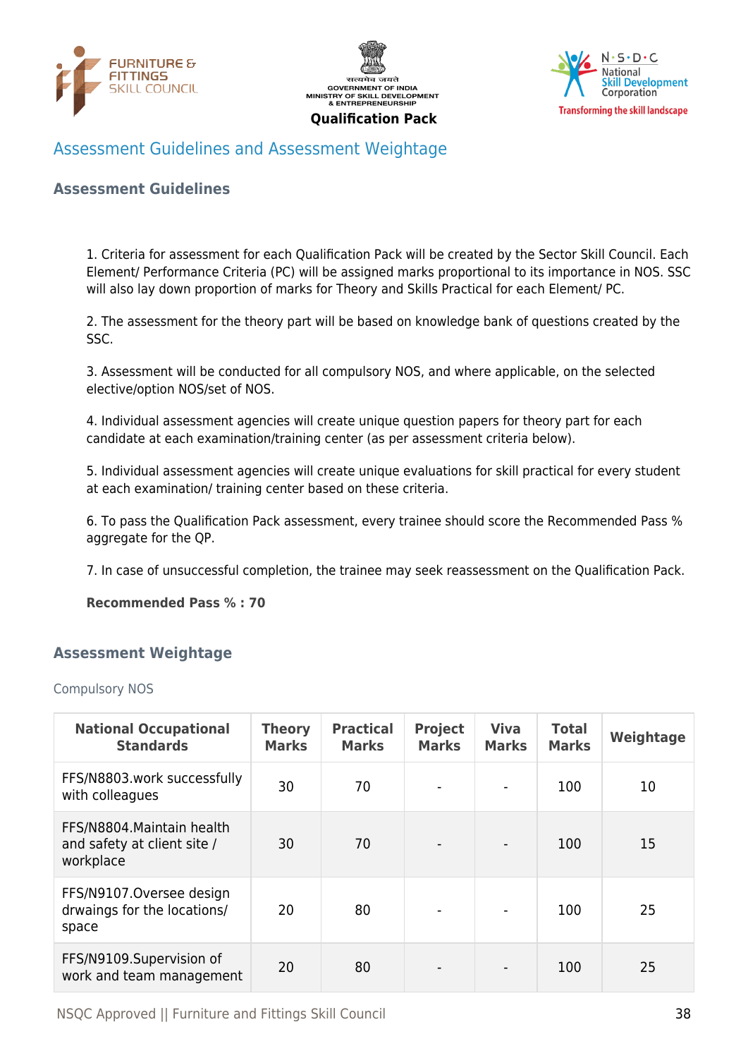





# <span id="page-37-0"></span>Assessment Guidelines and Assessment Weightage

### **Assessment Guidelines**

1. Criteria for assessment for each Qualification Pack will be created by the Sector Skill Council. Each Element/ Performance Criteria (PC) will be assigned marks proportional to its importance in NOS. SSC will also lay down proportion of marks for Theory and Skills Practical for each Element/ PC.

2. The assessment for the theory part will be based on knowledge bank of questions created by the SSC.

3. Assessment will be conducted for all compulsory NOS, and where applicable, on the selected elective/option NOS/set of NOS.

4. Individual assessment agencies will create unique question papers for theory part for each candidate at each examination/training center (as per assessment criteria below).

5. Individual assessment agencies will create unique evaluations for skill practical for every student at each examination/ training center based on these criteria.

6. To pass the Qualification Pack assessment, every trainee should score the Recommended Pass % aggregate for the QP.

7. In case of unsuccessful completion, the trainee may seek reassessment on the Qualification Pack.

**Recommended Pass % : 70**

### <span id="page-37-1"></span>**Assessment Weightage**

#### Compulsory NOS

| <b>National Occupational</b><br><b>Standards</b>                       | <b>Theory</b><br><b>Marks</b> | <b>Practical</b><br><b>Marks</b> | <b>Project</b><br><b>Marks</b> | <b>Viva</b><br><b>Marks</b> | <b>Total</b><br><b>Marks</b> | Weightage |
|------------------------------------------------------------------------|-------------------------------|----------------------------------|--------------------------------|-----------------------------|------------------------------|-----------|
| FFS/N8803.work successfully<br>with colleagues                         | 30                            | 70                               |                                | $\overline{\phantom{0}}$    | 100                          | 10        |
| FFS/N8804. Maintain health<br>and safety at client site /<br>workplace | 30                            | 70                               |                                |                             | 100                          | 15        |
| FFS/N9107.Oversee design<br>drwaings for the locations/<br>space       | 20                            | 80                               |                                |                             | 100                          | 25        |
| FFS/N9109.Supervision of<br>work and team management                   | 20                            | 80                               |                                |                             | 100                          | 25        |